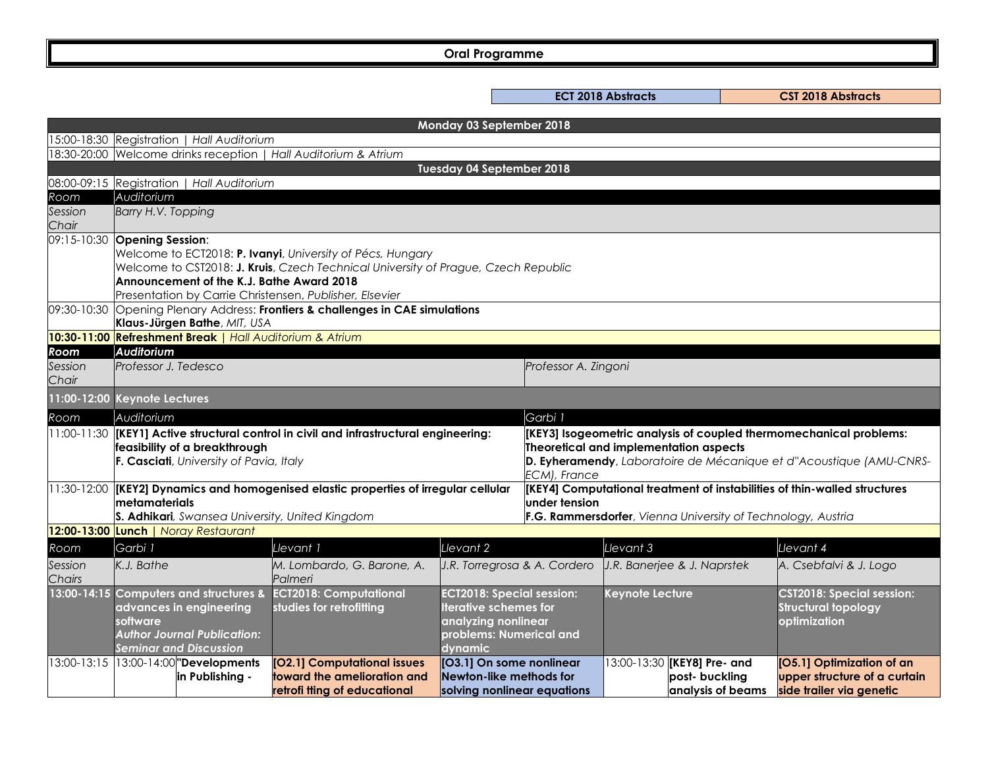**Oral Programme ECT 2018 Abstracts CST 2018 Abstracts Monday 03 September 2018** 15:00-18:30 Registration | *Hall Auditorium* 18:30-20:00 Welcome drinks reception | *Hall Auditorium & Atrium* **Tuesday 04 September 2018** 08:00-09:15 Registration | *Hall Auditorium Room Auditorium Session Chair Barry H.V. Topping* 09:15-10:30 **Opening Session**: Welcome to ECT2018: **P. Ivanyi**, *University of Pécs, Hungary* Welcome to CST2018: **J. Kruis**, *Czech Technical University of Prague, Czech Republic* **Announcement of the K.J. Bathe Award 2018** Presentation by Carrie Christensen, *Publisher, Elsevier* 09:30-10:30 Opening Plenary Address: **Frontiers & challenges in CAE simulations Klaus-Jürgen Bathe**, *MIT, USA* **10:30-11:00 Refreshment Break |** *Hall Auditorium & Atrium Room Auditorium Session Chair Professor J. Tedesco Professor A. Zingoni* **11:00-12:00 Keynote Lectures** *Room Auditorium Garbi 1* 11:00-11:30 **[KEY1] Active structural control in civil and infrastructural engineering: feasibility of a breakthrough F. Casciati**, *University of Pavia, Italy* **[KEY3] Isogeometric analysis of coupled thermomechanical problems: Theoretical and implementation aspects D. Eyheramendy**, *Laboratoire de Mécanique et d''Acoustique (AMU-CNRS-ECM), France* 11:30-12:00 **[KEY2] Dynamics and homogenised elastic properties of irregular cellular metamaterials S. Adhikari***, Swansea University, United Kingdom* **[KEY4] Computational treatment of instabilities of thin-walled structures under tension F.G. Rammersdorfer**, *Vienna University of Technology, Austria* **12:00-13:00 Lunch |** *Noray Restaurant Room Garbi 1 Llevant 1 Llevant 2 Llevant 3 Llevant 4 Session Chairs K.J. Bathe M. Lombardo, G. Barone, A. Palmeri J.R. Torregrosa & A. Cordero J.R. Banerjee & J. Naprstek A. Csebfalvi & J. Logo* **13:00-14:15 Computers and structures & advances in engineering software** *Author Journal Publication: Seminar and Discussion* **ECT2018: Computational studies for retrofitting ECT2018: Special session: Iterative schemes for analyzing nonlinear problems: Numerical and dynamic Keynote Lecture CST2018: Special session: Structural topology optimization** 13:00-13:15 13:00-14:00 **"Developments in Publishing - [O2.1] Computational issues toward the amelioration and [O3.1] On some nonlinear Newton-like methods for**  13:00-13:30 **[KEY8] Pre- and post- buckling [O5.1] Optimization of an upper structure of a curtain** 

**solving nonlinear equations**

**analysis of beams** 

**side trailer via genetic** 

**retrofi tting of educational**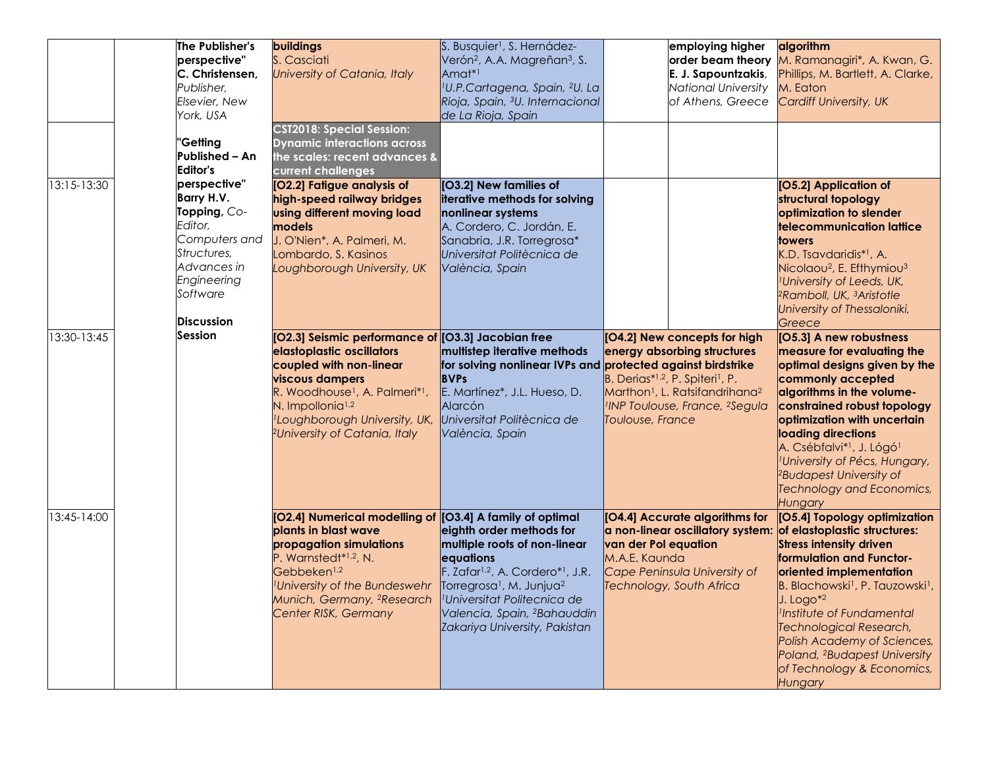|             | The Publisher's<br>perspective"<br>C. Christensen,<br>Publisher,<br>Elsevier, New<br>York, USA                                                       | <b>buildings</b><br>S. Casciati<br>University of Catania, Italy<br><b>CST2018: Special Session:</b>                                                                                                                                                                                     | S. Busquier <sup>1</sup> , S. Hernádez-<br>Verón <sup>2</sup> , A.A. Magreñan <sup>3</sup> , S.<br>Amat*1<br><sup>1</sup> U.P.Cartagena, Spain, <sup>2</sup> U. La<br>Rioja, Spain, <sup>3</sup> U. Internacional<br>de La Rioja, Spain                                                                                        | employing higher<br>order beam theory<br>E. J. Sapountzakis,<br>National University<br>of Athens, Greece                                                                                                                                           | algorithm<br>M. Ramanagiri*, A. Kwan, G.<br>Phillips, M. Bartlett, A. Clarke,<br>M. Eaton<br>Cardiff University, UK                                                                                                                                                                                                                                                                                            |
|-------------|------------------------------------------------------------------------------------------------------------------------------------------------------|-----------------------------------------------------------------------------------------------------------------------------------------------------------------------------------------------------------------------------------------------------------------------------------------|--------------------------------------------------------------------------------------------------------------------------------------------------------------------------------------------------------------------------------------------------------------------------------------------------------------------------------|----------------------------------------------------------------------------------------------------------------------------------------------------------------------------------------------------------------------------------------------------|----------------------------------------------------------------------------------------------------------------------------------------------------------------------------------------------------------------------------------------------------------------------------------------------------------------------------------------------------------------------------------------------------------------|
|             | 'Getting<br>Published - An<br>Editor's                                                                                                               | <b>Dynamic interactions across</b><br>the scales: recent advances &<br>current challenges                                                                                                                                                                                               |                                                                                                                                                                                                                                                                                                                                |                                                                                                                                                                                                                                                    |                                                                                                                                                                                                                                                                                                                                                                                                                |
| 13:15-13:30 | perspective"<br>Barry H.V.<br>Topping, Co-<br>Editor,<br>Computers and<br>Structures,<br>Advances in<br>Engineering<br>Software<br><b>Discussion</b> | [O2.2] Fatigue analysis of<br>high-speed railway bridges<br>using different moving load<br>models<br>J. O'Nien*, A. Palmeri, M.<br>Lombardo, S. Kasinos<br>Loughborough University, UK                                                                                                  | [O3.2] New families of<br>iterative methods for solving<br>nonlinear systems<br>A. Cordero, C. Jordán, E.<br>Sanabria, J.R. Torregrosa*<br>Universitat Politècnica de<br>València, Spain                                                                                                                                       |                                                                                                                                                                                                                                                    | [O5.2] Application of<br>structural topology<br>optimization to slender<br>telecommunication lattice<br>towers<br>K.D. Tsavdaridis* <sup>1</sup> , A.<br>Nicolaou <sup>2</sup> , E. Efthymiou <sup>3</sup><br><sup>1</sup> University of Leeds, UK,<br><sup>2</sup> Ramboll, UK, <sup>3</sup> Aristotle<br>University of Thessaloniki,<br>Greece                                                               |
| 13:30-13:45 | <b>Session</b>                                                                                                                                       | [O2.3] Seismic performance of<br>elastoplastic oscillators<br>coupled with non-linear<br><b>viscous dampers</b><br>R. Woodhouse <sup>1</sup> , A. Palmeri* <sup>1</sup> ,<br>N. Impollonia <sup>1,2</sup><br>'Loughborough University, UK,<br><sup>2</sup> University of Catania, Italy | [O3.3] Jacobian free<br>multistep iterative methods<br>for solving nonlinear IVPs and protected against birdstrike<br><b>BVPs</b><br>E. Martínez*, J.L. Hueso, D.<br><b>Alarcón</b><br>Universitat Politècnica de<br>València, Spain                                                                                           | [O4.2] New concepts for high<br>energy absorbing structures<br>B. Derias*1,2, P. Spiteri <sup>1</sup> , P.<br>Marthon <sup>1</sup> , L. Ratsifandrihana <sup>2</sup><br><sup>1</sup> INP Toulouse, France, <sup>2</sup> Segula<br>Toulouse, France | [O5.3] A new robustness<br>measure for evaluating the<br>optimal designs given by the<br>commonly accepted<br>algorithms in the volume-<br>constrained robust topology<br>optimization with uncertain<br>loading directions<br>A. Csébfalvi* <sup>1</sup> , J. Lógó <sup>1</sup><br>University of Pécs, Hungary,<br><sup>2</sup> Budapest University of<br>Technology and Economics,<br>Hungary                |
| 13:45-14:00 |                                                                                                                                                      | [O2.4] Numerical modelling of<br>plants in blast wave<br>propagation simulations<br>P. Warnstedt*1,2, N.<br>Gebbeken <sup>1,2</sup><br><sup>1</sup> University of the Bundeswehr<br>Munich, Germany, <sup>2</sup> Research<br>Center RISK, Germany                                      | [O3.4] A family of optimal<br>eighth order methods for<br>multiple roots of non-linear<br>equations<br>F. Zafar <sup>1,2</sup> , A. Cordero <sup>*1</sup> , J.R.<br>Torregrosa <sup>1</sup> , M. Junjua <sup>2</sup><br>Universitat Politecnica de<br>Valencia, Spain, <sup>2</sup> Bahauddin<br>Zakariya University, Pakistan | [O4.4] Accurate algorithms for<br>a non-linear oscillatory system:<br>van der Pol equation<br>M.A.E. Kaunda<br>Cape Peninsula University of<br>Technology, South Africa                                                                            | [O5.4] Topology optimization<br>of elastoplastic structures:<br><b>Stress intensity driven</b><br>formulation and Functor-<br>oriented implementation<br>B. Blachowski <sup>1</sup> , P. Tauzowski <sup>1</sup> ,<br>$J.$ Logo $*2$<br>Institute of Fundamental<br>Technological Research,<br>Polish Academy of Sciences,<br>Poland, <sup>2</sup> Budapest University<br>of Technology & Economics,<br>Hungary |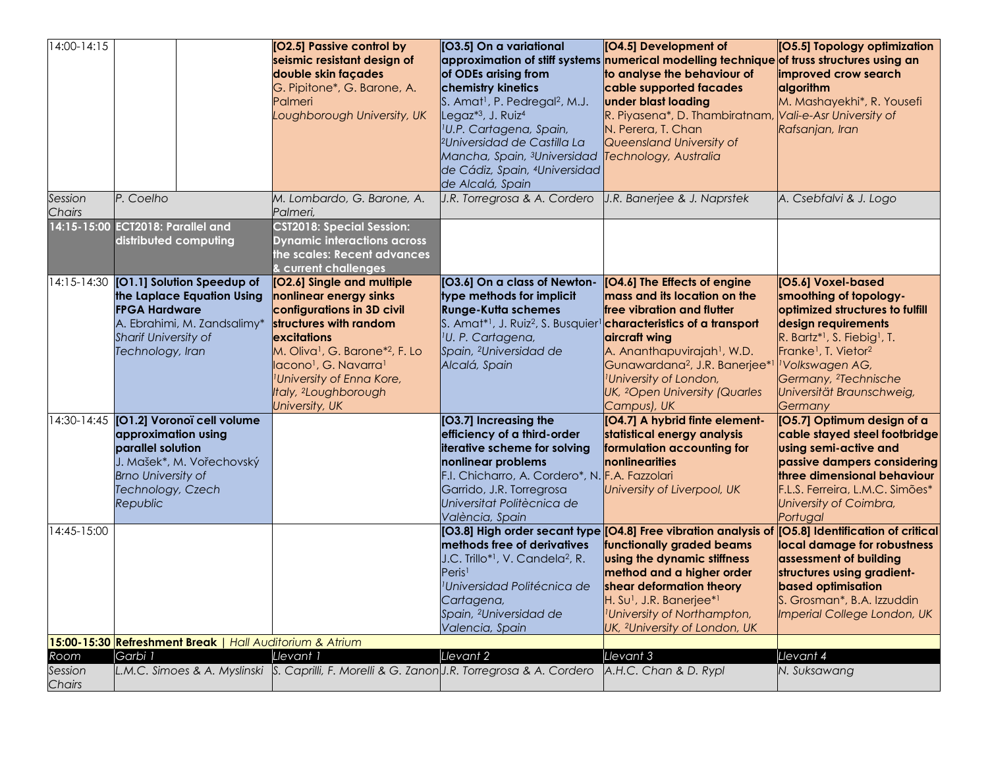| $14:00-14:15$                                                 |                                                                                                        |                                                                                                     | [O2.5] Passive control by<br>seismic resistant design of<br>double skin façades<br>G. Pipitone*, G. Barone, A.<br>Palmeri<br>Loughborough University, UK                                                                                                                                                                               | [O3.5] On a variational<br>of ODEs arising from<br>chemistry kinetics<br>S. Amat <sup>1</sup> , P. Pedregal <sup>2</sup> , M.J.<br>Legaz <sup>*3</sup> , J. Ruiz <sup>4</sup><br><sup>1</sup> U.P. Cartagena, Spain,<br><sup>2</sup> Universidad de Castilla La<br>Mancha, Spain, <sup>3</sup> Universidad<br>de Cádiz, Spain, <sup>4</sup> Universidad<br>de Alcalá, Spain | [O4.5] Development of<br>approximation of stiff systems <mark>numerical modelling technique of truss structures using an</mark><br>to analyse the behaviour of<br>cable supported facades<br><b>under blast loading</b><br>R. Piyasena*, D. Thambiratnam, Vali-e-Asr University of<br>N. Perera, T. Chan<br>Queensland University of<br>Technology, Australia      | [O5.5] Topology optimization<br>improved crow search<br>digorithm<br>M. Mashayekhi*, R. Yousefi<br>Rafsanjan, Iran                                                                                                                                                                                           |
|---------------------------------------------------------------|--------------------------------------------------------------------------------------------------------|-----------------------------------------------------------------------------------------------------|----------------------------------------------------------------------------------------------------------------------------------------------------------------------------------------------------------------------------------------------------------------------------------------------------------------------------------------|-----------------------------------------------------------------------------------------------------------------------------------------------------------------------------------------------------------------------------------------------------------------------------------------------------------------------------------------------------------------------------|--------------------------------------------------------------------------------------------------------------------------------------------------------------------------------------------------------------------------------------------------------------------------------------------------------------------------------------------------------------------|--------------------------------------------------------------------------------------------------------------------------------------------------------------------------------------------------------------------------------------------------------------------------------------------------------------|
| Session<br><b>Chairs</b><br>14:15-15:00 ECT2018: Parallel and | P. Coelho<br>distributed computing                                                                     |                                                                                                     | M. Lombardo, G. Barone, A.<br>Palmeri,<br><b>CST2018: Special Session:</b><br><b>Dynamic interactions across</b><br>the scales: Recent advances<br>& current challenges                                                                                                                                                                | J.R. Torregrosa & A. Cordero                                                                                                                                                                                                                                                                                                                                                | J.R. Banerjee & J. Naprstek                                                                                                                                                                                                                                                                                                                                        | A. Csebfalvi & J. Logo                                                                                                                                                                                                                                                                                       |
|                                                               | <b>FPGA Hardware</b><br>Sharif University of<br>Technology, Iran                                       | 14:15-14:30 [O1.1] Solution Speedup of<br>the Laplace Equation Using<br>A. Ebrahimi, M. Zandsalimy* | [O2.6] Single and multiple<br>nonlinear energy sinks<br>configurations in 3D civil<br>structures with random<br>excitations<br>M. Oliva <sup>1</sup> , G. Barone <sup>*2</sup> , F. Lo<br>lacono <sup>1</sup> , G. Navarra <sup>1</sup><br><sup>1</sup> University of Enna Kore,<br>Italy, <sup>2</sup> Loughborough<br>University, UK | [O3.6] On a class of Newton-<br>type methods for implicit<br><b>Runge-Kutta schemes</b><br>S. Amat* <sup>1</sup> , J. Ruiz <sup>2</sup> , S. Busquier <sup>1</sup><br><sup>1</sup> U. P. Cartagena,<br>Spain, <sup>2</sup> Universidad de<br>Alcalá, Spain                                                                                                                  | [O4.6] The Effects of engine<br>mass and its location on the<br>free vibration and flutter<br>characteristics of a transport<br>aircraft wing<br>A. Ananthapuvirajah <sup>1</sup> , W.D.<br>Gunawardana <sup>2</sup> , J.R. Banerjee* <sup>1</sup><br>University of London,<br>UK, <sup>2</sup> Open University (Quarles<br>Campus), UK                            | [O5.6] Voxel-based<br>smoothing of topology-<br>optimized structures to fulfill<br>design requirements<br>R. Bartz* <sup>1</sup> , S. Fiebig <sup>1</sup> , T.<br>Franke <sup>1</sup> , T. Vietor <sup>2</sup><br>Volkswagen AG,<br>Germany, <sup>2</sup> Technische<br>Universität Braunschweig,<br>Germany |
|                                                               | approximation using<br>parallel solution<br><b>Brno University of</b><br>Technology, Czech<br>Republic | 14:30-14:45 <b>[O1.2] Voronoï cell volume</b><br>J. Mašek*, M. Vořechovský                          |                                                                                                                                                                                                                                                                                                                                        | [O3.7] Increasing the<br>efficiency of a third-order<br>iterative scheme for solving<br>nonlinear problems<br>F.I. Chicharro, A. Cordero*, N. F.A. Fazzolari<br>Garrido, J.R. Torregrosa<br>Universitat Politècnica de<br>València, Spain                                                                                                                                   | [O4.7] A hybrid finte element-<br>statistical energy analysis<br>formulation accounting for<br>nonlinearities<br>University of Liverpool, UK                                                                                                                                                                                                                       | [O5.7] Optimum design of a<br>cable stayed steel footbridge<br>using semi-active and<br>passive dampers considering<br>three dimensional behaviour<br>F.L.S. Ferreira, L.M.C. Simões*<br>University of Coimbra,<br>Portugal                                                                                  |
| 14:45-15:00                                                   |                                                                                                        |                                                                                                     |                                                                                                                                                                                                                                                                                                                                        | methods free of derivatives<br>J.C. Trillo* <sup>1</sup> , V. Candela <sup>2</sup> , R.<br>Peris <sup>1</sup><br><sup>1</sup> Universidad Politécnica de<br>Cartagena,<br>Spain, <sup>2</sup> Universidad de<br>Valencia, Spain                                                                                                                                             | [03.8] High order secant type [04.8] Free vibration analysis of [05.8] Identification of critical<br>functionally graded beams<br>using the dynamic stiffness<br>method and a higher order<br>shear deformation theory<br>H. Su <sup>1</sup> , J.R. Banerjee* <sup>1</sup><br><sup>1</sup> University of Northampton,<br>UK, <sup>2</sup> University of London, UK | local damage for robustness<br>assessment of building<br>structures using gradient-<br><b>based optimisation</b><br>S. Grosman*, B.A. Izzuddin<br>Imperial College London, UK                                                                                                                                |
|                                                               |                                                                                                        | 15:00-15:30 Refreshment Break   Hall Auditorium & Atrium                                            |                                                                                                                                                                                                                                                                                                                                        |                                                                                                                                                                                                                                                                                                                                                                             |                                                                                                                                                                                                                                                                                                                                                                    |                                                                                                                                                                                                                                                                                                              |
| Room<br>Session<br>Chairs                                     | Garbi 1                                                                                                |                                                                                                     | Llevant 1<br>L.M.C. Simoes & A. Myslinski S. Caprilli, F. Morelli & G. Zanon J.R. Torregrosa & A. Cordero                                                                                                                                                                                                                              | Llevant 2                                                                                                                                                                                                                                                                                                                                                                   | Llevant 3<br>A.H.C. Chan & D. Rypl                                                                                                                                                                                                                                                                                                                                 | Llevant 4<br>N. Suksawang                                                                                                                                                                                                                                                                                    |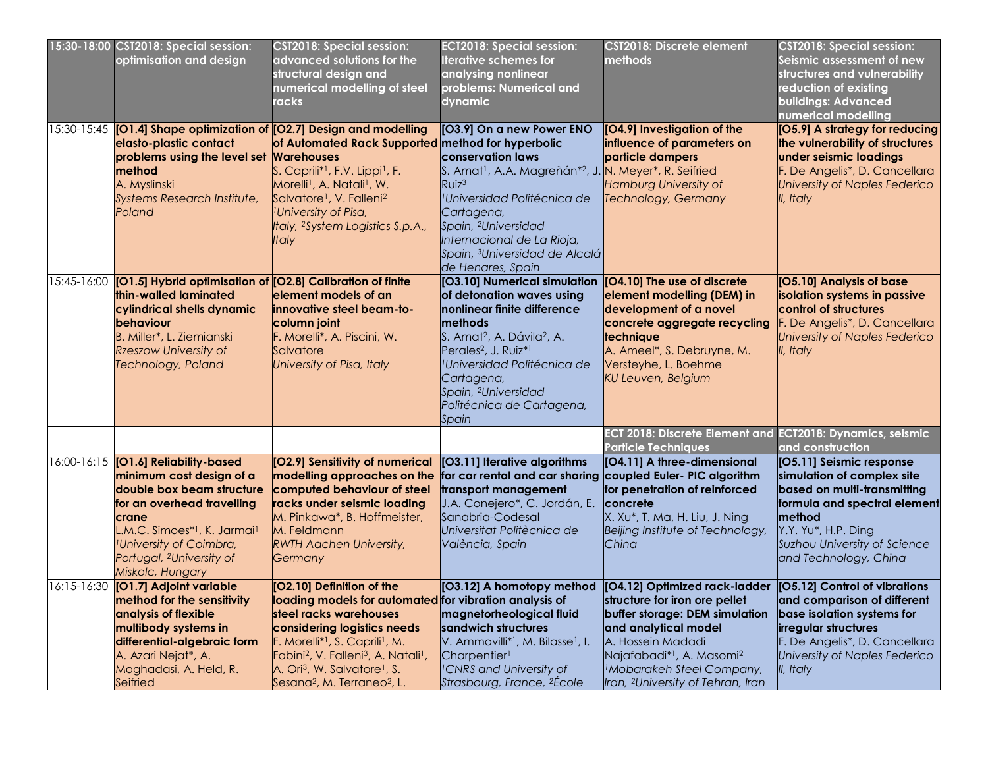|             | 15:30-18:00 CST2018: Special session:<br>optimisation and design                                                                                                                                                                                                                                       | <b>CST2018: Special session:</b><br>advanced solutions for the<br>structural design and<br>numerical modelling of steel<br>racks                                                                                                                                                                                                                                                                          | <b>ECT2018: Special session:</b><br><b>Iterative schemes for</b><br>analysing nonlinear<br>problems: Numerical and<br>dynamic                                                                                                                                                                                                                | CST2018: Discrete element<br>methods                                                                                                                                                                                                                                                         | <b>CST2018: Special session:</b><br>Seismic assessment of new<br>structures and vulnerability<br>reduction of existing<br><b>buildings: Advanced</b><br>numerical modelling                                                         |
|-------------|--------------------------------------------------------------------------------------------------------------------------------------------------------------------------------------------------------------------------------------------------------------------------------------------------------|-----------------------------------------------------------------------------------------------------------------------------------------------------------------------------------------------------------------------------------------------------------------------------------------------------------------------------------------------------------------------------------------------------------|----------------------------------------------------------------------------------------------------------------------------------------------------------------------------------------------------------------------------------------------------------------------------------------------------------------------------------------------|----------------------------------------------------------------------------------------------------------------------------------------------------------------------------------------------------------------------------------------------------------------------------------------------|-------------------------------------------------------------------------------------------------------------------------------------------------------------------------------------------------------------------------------------|
|             | elasto-plastic contact<br>problems using the level set Warehouses<br>method<br>A. Myslinski<br>Systems Research Institute,<br>Poland                                                                                                                                                                   | 15:30-15:45 <b>[O1.4] Shape optimization of [O2.7] Design and modelling</b><br>of Automated Rack Supported method for hyperbolic<br>S. Caprili* <sup>1</sup> , F.V. Lippi <sup>1</sup> , F.<br>Morelli <sup>1</sup> , A. Natali <sup>1</sup> , W.<br>Salvatore <sup>1</sup> , V. Falleni <sup>2</sup><br><sup>1</sup> University of Pisa,<br>Italy, <sup>2</sup> System Logistics S.p.A.,<br><i>Italy</i> | [O3.9] On a new Power ENO<br>conservation laws<br>S. Amat <sup>1</sup> , A.A. Magreñán* <sup>2</sup> , J.<br>Ruiz <sup>3</sup><br><sup>1</sup> Universidad Politécnica de<br>Cartagena,<br>Spain, <sup>2</sup> Universidad<br>Internacional de La Rioja,<br>Spain, <sup>3</sup> Universidad de Alcalá<br>de Henares, Spain                   | [O4.9] Investigation of the<br>influence of parameters on<br>particle dampers<br>N. Meyer <sup>*</sup> , R. Seifried<br>Hamburg University of<br><b>Technology, Germany</b>                                                                                                                  | [O5.9] A strategy for reducing<br>the vulnerability of structures<br>under seismic loadings<br>F. De Angelis*, D. Cancellara<br>University of Naples Federico<br>II, Italy                                                          |
|             | 15:45-16:00 <b>[O1.5] Hybrid optimisation of [O2.8] Calibration of finite</b><br>thin-walled laminated<br>cylindrical shells dynamic<br>behaviour<br>B. Miller*, L. Ziemianski<br><b>Rzeszow University of</b><br>Technology, Poland                                                                   | element models of an<br>innovative steel beam-to-<br>column joint<br>F. Morelli*, A. Piscini, W.<br>Salvatore<br>University of Pisa, Italy                                                                                                                                                                                                                                                                | [O3.10] Numerical simulation<br>of detonation waves using<br>Inonlinear finite difference<br>methods<br>S. Amat <sup>2</sup> , A. Dávila <sup>2</sup> , A.<br>Perales <sup>2</sup> , J. Ruiz* <sup>1</sup><br><sup>1</sup> Universidad Politécnica de<br>Cartagena,<br>Spain, <sup>2</sup> Universidad<br>Politécnica de Cartagena,<br>Spain | [O4.10] The use of discrete<br>element modelling (DEM) in<br>development of a novel<br>concrete aggregate recycling<br>technique<br>A. Ameel*, S. Debruyne, M.<br>Versteyhe, L. Boehme<br><b>KU Leuven, Belgium</b>                                                                          | [O5.10] Analysis of base<br>isolation systems in passive<br>control of structures<br>F. De Angelis*, D. Cancellara<br><b>University of Naples Federico</b><br>II, Italy                                                             |
|             |                                                                                                                                                                                                                                                                                                        |                                                                                                                                                                                                                                                                                                                                                                                                           |                                                                                                                                                                                                                                                                                                                                              | ECT 2018: Discrete Element and ECT2018: Dynamics, seismic                                                                                                                                                                                                                                    |                                                                                                                                                                                                                                     |
|             | 16:00-16:15 <b>[O1.6] Reliability-based</b><br>minimum cost design of a<br>double box beam structure<br>for an overhead travelling<br>crane<br>L.M.C. Simoes* <sup>1</sup> , K. Jarmai <sup>1</sup><br><sup>1</sup> University of Coimbra,<br>Portugal, <sup>2</sup> University of<br>Miskolc, Hungary | [O2.9] Sensitivity of numerical<br>modelling approaches on the<br>computed behaviour of steel<br>racks under seismic loading<br>M. Pinkawa*, B. Hoffmeister,<br>M. Feldmann<br><b>RWTH Aachen University,</b><br>Germany                                                                                                                                                                                  | [O3.11] Iterative algorithms<br>for car rental and car sharing<br>transport management<br>J.A. Conejero*, C. Jordán, E.<br>Sanabria-Codesal<br>Universitat Politècnica de<br>València, Spain                                                                                                                                                 | <b>Particle Techniques</b><br>[O4.11] A three-dimensional<br>coupled Euler- PIC algorithm<br>for penetration of reinforced<br>concrete<br>X. Xu*, T. Ma, H. Liu, J. Ning<br>Beijing Institute of Technology,<br>China                                                                        | and construction<br>[O5.11] Seismic response<br>simulation of complex site<br>based on multi-transmitting<br>formula and spectral element<br>method<br>Y.Y. Yu*, H.P. Ding<br>Suzhou University of Science<br>and Technology, China |
| 16:15-16:30 | [01.7] Adjoint variable<br>method for the sensitivity<br>analysis of flexible<br>multibody systems in<br>differential-algebraic form<br>A. Azari Nejat*, A.<br>Moghadasi, A. Held, R.<br>Seifried                                                                                                      | [O2.10] Definition of the<br>loading models for automated for vibration analysis of<br>steel racks warehouses<br>considering logistics needs<br>F. Morelli* <sup>1</sup> , S. Caprili <sup>1</sup> , M.<br>Fabini <sup>2</sup> , V. Falleni <sup>3</sup> , A. Natali <sup>1</sup> ,<br>A. Ori <sup>3</sup> , W. Salvatore <sup>1</sup> , S.<br>Sesana <sup>2</sup> , M. Terraneo <sup>2</sup> , L.        | [O3.12] A homotopy method<br>magnetorheological fluid<br>sandwich structures<br>V. Ammovilli* <sup>1</sup> , M. Bilasse <sup>1</sup> , I.<br>Charpentier <sup>1</sup><br><sup>1</sup> CNRS and University of<br>Strasbourg, France, <sup>2</sup> École                                                                                       | [04.12] Optimized rack-ladder<br>structure for iron ore pellet<br>buffer storage: DEM simulation<br>and analytical model<br>A. Hossein Madadi<br>Najafabadi* <sup>1</sup> , A. Masomi <sup>2</sup><br><sup>1</sup> Mobarakeh Steel Company,<br>Iran, <sup>2</sup> University of Tehran, Iran | [O5.12] Control of vibrations<br>and comparison of different<br>base isolation systems for<br>irregular structures<br>F. De Angelis*, D. Cancellara<br>University of Naples Federico<br>II, Italy                                   |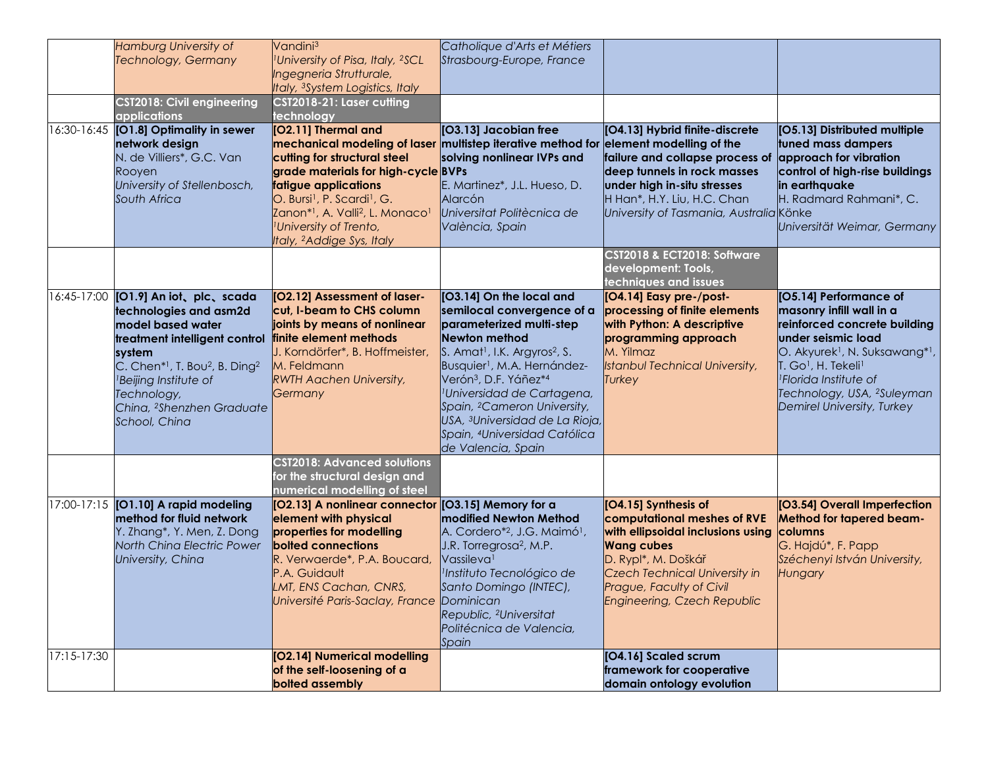|             | Hamburg University of<br>Technology, Germany                                                                                                                                                                                                                                                            | Vandini <sup>3</sup><br><sup>1</sup> University of Pisa, Italy, <sup>2</sup> SCL<br>Ingegneria Strutturale,<br>Italy, <sup>3</sup> System Logistics, Italy                                                                                                                                                                                                                                     | Catholique d'Arts et Métiers<br>Strasbourg-Europe, France                                                                                                                                                                                                                                                                                                                                                                                                     |                                                                                                                                                                                                                                         |                                                                                                                                                                                                                                                                                                                                |
|-------------|---------------------------------------------------------------------------------------------------------------------------------------------------------------------------------------------------------------------------------------------------------------------------------------------------------|------------------------------------------------------------------------------------------------------------------------------------------------------------------------------------------------------------------------------------------------------------------------------------------------------------------------------------------------------------------------------------------------|---------------------------------------------------------------------------------------------------------------------------------------------------------------------------------------------------------------------------------------------------------------------------------------------------------------------------------------------------------------------------------------------------------------------------------------------------------------|-----------------------------------------------------------------------------------------------------------------------------------------------------------------------------------------------------------------------------------------|--------------------------------------------------------------------------------------------------------------------------------------------------------------------------------------------------------------------------------------------------------------------------------------------------------------------------------|
|             | <b>CST2018: Civil engineering</b><br><b>applications</b>                                                                                                                                                                                                                                                | CST2018-21: Laser cutting<br>technology                                                                                                                                                                                                                                                                                                                                                        |                                                                                                                                                                                                                                                                                                                                                                                                                                                               |                                                                                                                                                                                                                                         |                                                                                                                                                                                                                                                                                                                                |
|             | 16:30-16:45 [O1.8] Optimality in sewer<br>network design<br>N. de Villiers*, G.C. Van<br>Rooyen<br>University of Stellenbosch,<br>South Africa                                                                                                                                                          | [O2.11] Thermal and<br>mechanical modeling of laser multistep iterative method for element modelling of the<br>cutting for structural steel<br>grade materials for high-cycle BVPs<br>fatigue applications<br>O. Bursi <sup>1</sup> , P. Scardi <sup>1</sup> , G.<br>Zanon*1, A. Valli <sup>2</sup> , L. Monaco <sup>1</sup><br>University of Trento,<br>Italy, <sup>2</sup> Addige Sys, Italy | [O3.13] Jacobian free<br>solving nonlinear IVPs and<br>E. Martinez*, J.L. Hueso, D.<br><b>Alarcón</b><br>Universitat Politècnica de<br>València, Spain                                                                                                                                                                                                                                                                                                        | [O4.13] Hybrid finite-discrete<br>failure and collapse process of<br>deep tunnels in rock masses<br>under high in-situ stresses<br>H Han*, H.Y. Liu, H.C. Chan<br>University of Tasmania, Australia Könke                               | [O5.13] Distributed multiple<br>tuned mass dampers<br>approach for vibration<br>control of high-rise buildings<br>in earthquake<br>H. Radmard Rahmani*, C.<br>Universität Weimar, Germany                                                                                                                                      |
|             |                                                                                                                                                                                                                                                                                                         |                                                                                                                                                                                                                                                                                                                                                                                                |                                                                                                                                                                                                                                                                                                                                                                                                                                                               | <b>CST2018 &amp; ECT2018: Software</b><br>development: Tools,<br>techniques and issues                                                                                                                                                  |                                                                                                                                                                                                                                                                                                                                |
| 6:45-17:00  | [O1.9] An iot, plc, scada<br>technologies and asm2d<br>model based water<br>treatment intelligent control<br>system<br>C. Chen* <sup>1</sup> , T. Bou <sup>2</sup> , B. Ding <sup>2</sup><br><sup>1</sup> Beijing Institute of<br>Technology,<br>China, <sup>2</sup> Shenzhen Graduate<br>School, China | [O2.12] Assessment of laser-<br>cut, I-beam to CHS column<br>joints by means of nonlinear<br>finite element methods<br>J. Korndörfer*, B. Hoffmeister,<br>M. Feldmann<br><b>RWTH Aachen University,</b><br>Germany                                                                                                                                                                             | [O3.14] On the local and<br>semilocal convergence of a<br>parameterized multi-step<br>Newton method<br>S. Amat <sup>1</sup> , I.K. Argyros <sup>2</sup> , S.<br>Busquier <sup>1</sup> , M.A. Hernández-<br>Verón <sup>3</sup> , D.F. Yáñez* <sup>4</sup><br><sup>1</sup> Universidad de Cartagena,<br>Spain, <sup>2</sup> Cameron University,<br>USA, <sup>3</sup> Universidad de La Rioja,<br>Spain, <sup>4</sup> Universidad Católica<br>de Valencia, Spain | [O4.14] Easy pre-/post-<br>processing of finite elements<br>with Python: A descriptive<br>programming approach<br>M. Yilmaz<br><b>Istanbul Technical University,</b><br><b>Turkey</b>                                                   | [O5.14] Performance of<br>masonry infill wall in a<br>reinforced concrete building<br>under seismic load<br>O. Akyurek <sup>1</sup> , N. Suksawang* <sup>1</sup> ,<br>T. Go <sup>1</sup> , H. Tekeli <sup>1</sup><br><sup>1</sup> Florida Institute of<br>Technology, USA, <sup>2</sup> Suleyman<br>Demirel University, Turkey |
|             |                                                                                                                                                                                                                                                                                                         | <b>CST2018: Advanced solutions</b><br>for the structural design and<br>numerical modelling of steel                                                                                                                                                                                                                                                                                            |                                                                                                                                                                                                                                                                                                                                                                                                                                                               |                                                                                                                                                                                                                                         |                                                                                                                                                                                                                                                                                                                                |
|             | 17:00-17:15 [O1.10] A rapid modeling<br>method for fluid network<br>Y. Zhang*, Y. Men, Z. Dong<br>North China Electric Power<br>University, China                                                                                                                                                       | [O2.13] A nonlinear connector [O3.15] Memory for a<br>element with physical<br>properties for modelling<br>bolted connections<br>R. Verwaerde*, P.A. Boucard,<br>P.A. Guidault<br>LMT, ENS Cachan, CNRS,<br>Université Paris-Saclay, France Dominican                                                                                                                                          | modified Newton Method<br>A. Cordero*2, J.G. Maimó <sup>1</sup> ,<br>J.R. Torregrosa <sup>2</sup> , M.P.<br>Vassileva <sup>1</sup><br><sup>1</sup> Instituto Tecnológico de<br>Santo Domingo (INTEC),<br>Republic, <sup>2</sup> Universitat<br>Politécnica de Valencia,<br>Spain                                                                                                                                                                              | [O4.15] Synthesis of<br>computational meshes of RVE<br>with ellipsoidal inclusions using<br><b>Wang cubes</b><br>D. Rypl*, M. Doškář<br><b>Czech Technical University in</b><br>Prague, Faculty of Civil<br>Engineering, Czech Republic | [O3.54] Overall Imperfection<br>Method for tapered beam-<br>columns<br>G. Hajdú*, F. Papp<br>Széchenyi István University,<br>Hungary                                                                                                                                                                                           |
| 17:15-17:30 |                                                                                                                                                                                                                                                                                                         | [O2.14] Numerical modelling<br>of the self-loosening of a<br>bolted assembly                                                                                                                                                                                                                                                                                                                   |                                                                                                                                                                                                                                                                                                                                                                                                                                                               | [O4.16] Scaled scrum<br>framework for cooperative<br>domain ontology evolution                                                                                                                                                          |                                                                                                                                                                                                                                                                                                                                |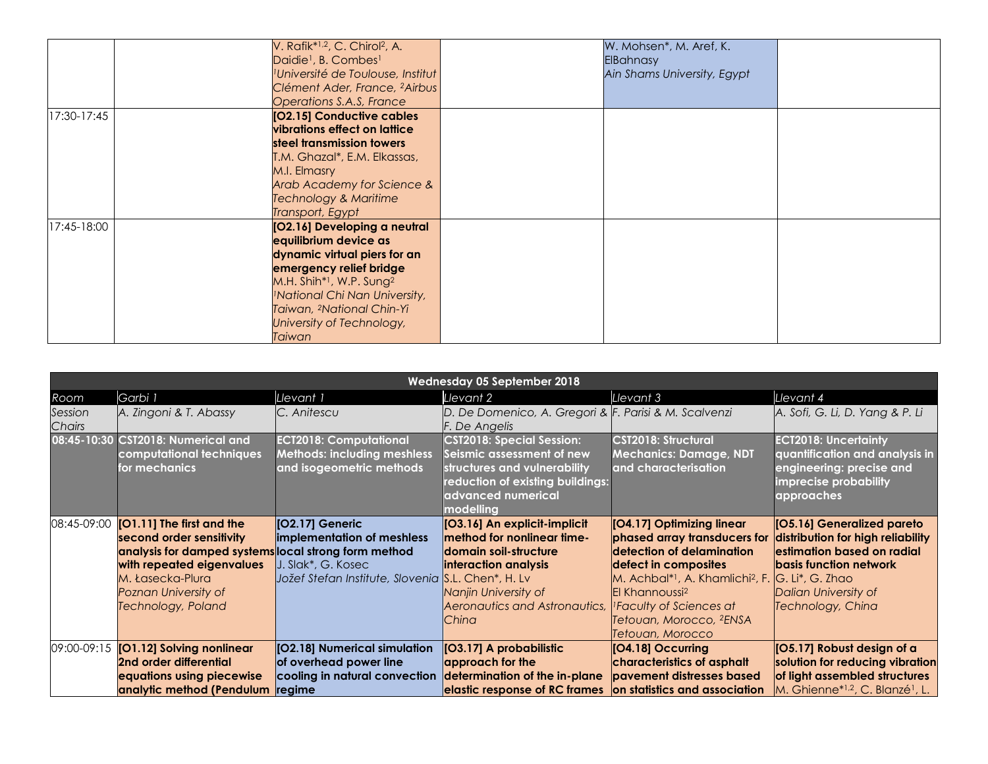|             | V. Rafik* <sup>1,2</sup> , C. Chirol <sup>2</sup> , A.<br>Daidie <sup>1</sup> , B. Combes <sup>1</sup><br>Université de Toulouse, Institut<br>Clément Ader, France, <sup>2</sup> Airbus<br>Operations S.A.S, France                                                                                      | W. Mohsen*, M. Aref, K.<br><b>ElBahnasy</b><br>Ain Shams University, Egypt |
|-------------|----------------------------------------------------------------------------------------------------------------------------------------------------------------------------------------------------------------------------------------------------------------------------------------------------------|----------------------------------------------------------------------------|
| 17:30-17:45 | [O2.15] Conductive cables<br>vibrations effect on lattice<br>steel transmission towers<br>T.M. Ghazal*, E.M. Elkassas,<br>M.I. Elmasry<br>Arab Academy for Science &<br><b>Technology &amp; Maritime</b><br>Transport, Egypt                                                                             |                                                                            |
| 17:45-18:00 | [O2.16] Developing a neutral<br>equilibrium device as<br>dynamic virtual piers for an<br>emergency relief bridge<br>M.H. Shih <sup>*1</sup> , W.P. Sung <sup>2</sup><br><sup>1</sup> National Chi Nan University,<br>Taiwan, <sup>2</sup> National Chin-Yi<br>University of Technology,<br><b>Taiwan</b> |                                                                            |

|             | Wednesday 05 September 2018                          |                                                                 |                                                       |                                                                          |                                                            |  |  |
|-------------|------------------------------------------------------|-----------------------------------------------------------------|-------------------------------------------------------|--------------------------------------------------------------------------|------------------------------------------------------------|--|--|
| Room        | Garbi 1                                              | Llevant 1                                                       | Llevant 2                                             | Llevant 3                                                                | Llevant 4                                                  |  |  |
| Session     | A. Zingoni & T. Abassy                               | C. Anitescu                                                     | D. De Domenico, A. Gregori & F. Parisi & M. Scalvenzi |                                                                          | A. Sofi, G. Li, D. Yang & P. Li                            |  |  |
| Chairs      |                                                      |                                                                 | F. De Angelis                                         |                                                                          |                                                            |  |  |
|             | 08:45-10:30 CST2018: Numerical and                   | <b>ECT2018: Computational</b>                                   | <b>CST2018: Special Session:</b>                      | <b>CST2018: Structural</b>                                               | <b>ECT2018: Uncertainty</b>                                |  |  |
|             | computational techniques                             | <b>Methods: including meshless</b>                              | Seismic assessment of new                             | <b>Mechanics: Damage, NDT</b>                                            | quantification and analysis in                             |  |  |
|             | for mechanics                                        | and isogeometric methods                                        | structures and vulnerability                          | and characterisation                                                     | engineering: precise and                                   |  |  |
|             |                                                      |                                                                 | reduction of existing buildings:                      |                                                                          | imprecise probability                                      |  |  |
|             |                                                      |                                                                 | advanced numerical                                    |                                                                          | approaches                                                 |  |  |
|             |                                                      |                                                                 | modelling                                             |                                                                          |                                                            |  |  |
| 08:45-09:00 | [01.11] The first and the                            | [O2.17] Generic                                                 | [O3.16] An explicit-implicit                          | [04.17] Optimizing linear                                                | [O5.16] Generalized pareto                                 |  |  |
|             | second order sensitivity                             | implementation of meshless                                      | method for nonlinear time-                            | phased array transducers for                                             | distribution for high reliability                          |  |  |
|             | analysis for damped systems local strong form method |                                                                 | domain soil-structure                                 | detection of delamination                                                | estimation based on radial                                 |  |  |
|             | with repeated eigenvalues                            | J. Slak*, G. Kosec                                              | interaction analysis                                  | defect in composites                                                     | <b>basis function network</b>                              |  |  |
|             | M. Łasecka-Plura                                     | Jožef Stefan Institute, Slovenia <mark>S.L. Chen*, H. Lv</mark> |                                                       | M. Achbal* <sup>1</sup> , A. Khamlichi <sup>2</sup> , F. G. Li*, G. Zhao |                                                            |  |  |
|             | Poznan University of                                 |                                                                 | Nanjin University of                                  | <b>El Khannoussi<sup>2</sup></b>                                         | Dalian University of                                       |  |  |
|             | Technology, Poland                                   |                                                                 | Aeronautics and Astronautics,                         | <sup>1</sup> Faculty of Sciences at                                      | Technology, China                                          |  |  |
|             |                                                      |                                                                 | China                                                 | Tetouan, Morocco, <sup>2</sup> ENSA                                      |                                                            |  |  |
|             |                                                      |                                                                 |                                                       | Tetouan, Morocco                                                         |                                                            |  |  |
|             | 09:00-09:15 [01.12] Solving nonlinear                | [O2.18] Numerical simulation                                    | [O3.17] A probabilistic                               | [O4.18] Occurring                                                        | [O5.17] Robust design of a                                 |  |  |
|             | 2nd order differential                               | of overhead power line                                          | approach for the                                      | characteristics of asphalt                                               | solution for reducing vibration                            |  |  |
|             | equations using piecewise                            | cooling in natural convection                                   | determination of the in-plane                         | pavement distresses based                                                | of light assembled structures                              |  |  |
|             | analytic method (Pendulum regime                     |                                                                 | elastic response of RC frames                         | on statistics and association                                            | $M.$ Ghienne <sup>*1,2</sup> , C. Blanzé <sup>1</sup> , L. |  |  |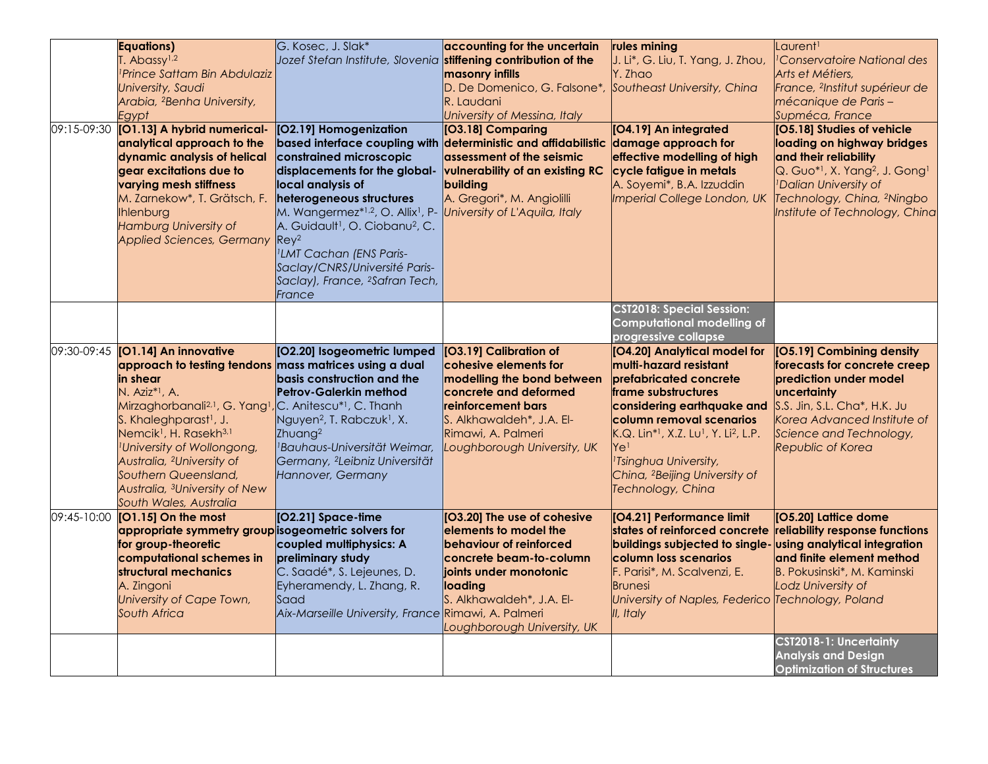| 09:15-09:30 | <b>Equations)</b><br>T. Abassy <sup>1,2</sup><br><b>Prince Sattam Bin Abdulaziz</b><br>Jniversity, Saudi<br>Arabia, <sup>2</sup> Benha University,<br>Egypt<br>[O1.13] A hybrid numerical-<br>analytical approach to the<br>dynamic analysis of helical<br>gear excitations due to<br>varying mesh stiffness<br>M. Zarnekow*, T. Grätsch, F.<br><b>Ihlenburg</b><br>Hamburg University of<br><b>Applied Sciences, Germany</b>                   | G. Kosec, J. Slak*<br>Jozef Stefan Institute, Slovenia stiffening contribution of the<br>[O2.19] Homogenization<br>constrained microscopic<br>displacements for the global- vulnerability of an existing RC<br>local analysis of<br>heterogeneous structures<br>M. Wangermez*1,2, O. Allix <sup>1</sup> , P-<br>A. Guidault <sup>1</sup> , O. Ciobanu <sup>2</sup> , C.<br>$Rey^2$<br><sup>1</sup> LMT Cachan (ENS Paris-<br>Saclay/CNRS/Université Paris-<br>Saclay), France, <sup>2</sup> Safran Tech,<br>France | accounting for the uncertain<br><b>masonry infills</b><br>D. De Domenico, G. Falsone*,<br>R. Laudani<br>University of Messina, Italy<br>[O3.18] Comparing<br>based interface coupling with deterministic and affidabilistic<br>assessment of the seismic<br>building<br>A. Gregori*, M. Angiolilli<br>University of L'Aquila, Italy | rules mining<br>J. Li*, G. Liu, T. Yang, J. Zhou,<br>Y. Zhao<br>Southeast University, China<br>[O4.19] An integrated<br>damage approach for<br>effective modelling of high<br>cycle fatigue in metals<br>A. Soyemi*, B.A. Izzuddin<br>Imperial College London, UK                                                                                                                                                                                                  | Laurent <sup>1</sup><br>Conservatoire National des<br>Arts et Métiers.<br>France, <sup>2</sup> Institut supérieur de<br>mécanique de Paris -<br>Supméca, France<br>[O5.18] Studies of vehicle<br>loading on highway bridges<br>and their reliability<br>Q. Guo <sup>*1</sup> , X. Yang <sup>2</sup> , J. Gong <sup>1</sup><br><sup>1</sup> Dalian University of<br>Technology, China, <sup>2</sup> Ningbo<br>Institute of Technology, China |
|-------------|-------------------------------------------------------------------------------------------------------------------------------------------------------------------------------------------------------------------------------------------------------------------------------------------------------------------------------------------------------------------------------------------------------------------------------------------------|--------------------------------------------------------------------------------------------------------------------------------------------------------------------------------------------------------------------------------------------------------------------------------------------------------------------------------------------------------------------------------------------------------------------------------------------------------------------------------------------------------------------|-------------------------------------------------------------------------------------------------------------------------------------------------------------------------------------------------------------------------------------------------------------------------------------------------------------------------------------|--------------------------------------------------------------------------------------------------------------------------------------------------------------------------------------------------------------------------------------------------------------------------------------------------------------------------------------------------------------------------------------------------------------------------------------------------------------------|---------------------------------------------------------------------------------------------------------------------------------------------------------------------------------------------------------------------------------------------------------------------------------------------------------------------------------------------------------------------------------------------------------------------------------------------|
| 09:30-09:45 | [O1.14] An innovative<br>approach to testing tendons mass matrices using a dual<br>in shear<br>N. Aziz <sup>*1</sup> , A.<br>Mirzaghorbanali <sup>2,1</sup> , G. Yang <sup>1</sup><br>S. Khaleghparast <sup>1</sup> , J.<br>Nemcik <sup>1</sup> , H. Rasekh <sup>3,1</sup><br>University of Wollongong,<br>Australia, <sup>2</sup> University of<br>Southern Queensland,<br>Australia, <sup>3</sup> University of New<br>South Wales, Australia | [O2.20] Isogeometric lumped<br>basis construction and the<br><b>Petrov-Galerkin method</b><br>C. Anitescu* <sup>1</sup> , C. Thanh<br>Nguyen <sup>2</sup> , T. Rabczuk <sup>1</sup> , X.<br>Zhuang <sup>2</sup><br><b>Bauhaus-Universität Weimar,</b><br>Germany, <sup>2</sup> Leibniz Universität<br>Hannover, Germany                                                                                                                                                                                            | [O3.19] Calibration of<br>cohesive elements for<br>modelling the bond between<br>concrete and deformed<br>reinforcement bars<br>S. Alkhawaldeh*, J.A. El-<br>Rimawi, A. Palmeri<br>Loughborough University, UK                                                                                                                      | <b>CST2018: Special Session:</b><br>Computational modelling of<br>progressive collapse<br>[O4.20] Analytical model for<br>multi-hazard resistant<br>prefabricated concrete<br>frame substructures<br>considering earthquake and<br>column removal scenarios<br>K.Q. Lin* <sup>1</sup> , X.Z. Lu <sup>1</sup> , Y. Li <sup>2</sup> , L.P.<br>Ye <sup>1</sup><br><sup>1</sup> Tsinghua University,<br>China, <sup>2</sup> Beijing University of<br>Technology, China | [O5.19] Combining density<br>forecasts for concrete creep<br>prediction under model<br>uncertainty<br>S.S. Jin, S.L. Cha <sup>*</sup> , H.K. Ju<br>Korea Advanced Institute of<br>Science and Technology,<br>Republic of Korea                                                                                                                                                                                                              |
| 09:45-10:00 | [O1.15] On the most<br>appropriate symmetry group isogeometric solvers for<br>for group-theoretic<br>computational schemes in<br>structural mechanics<br>A. Zingoni<br>University of Cape Town,<br>South Africa                                                                                                                                                                                                                                 | [O2.21] Space-time<br>coupled multiphysics: A<br>preliminary study<br>C. Saadé*, S. Lejeunes, D.<br>Eyheramendy, L. Zhang, R.<br>Saad<br>Aix-Marseille University, France Rimawi, A. Palmeri                                                                                                                                                                                                                                                                                                                       | [O3.20] The use of cohesive<br>elements to model the<br>behaviour of reinforced<br>concrete beam-to-column<br>joints under monotonic<br>loading<br>S. Alkhawaldeh*, J.A. El-<br>Loughborough University, UK                                                                                                                         | [O4.21] Performance limit<br>states of reinforced concrete reliability response functions<br>buildings subjected to single-<br>column loss scenarios<br>F. Parisi*, M. Scalvenzi, E.<br><b>Brunesi</b><br>University of Naples, Federico Technology, Poland<br>II, Italy                                                                                                                                                                                           | [O5.20] Lattice dome<br>using analytical integration<br>and finite element method<br>B. Pokusinski*, M. Kaminski<br>Lodz University of<br><b>CST2018-1: Uncertainty</b><br><b>Analysis and Design</b><br><b>Optimization of Structures</b>                                                                                                                                                                                                  |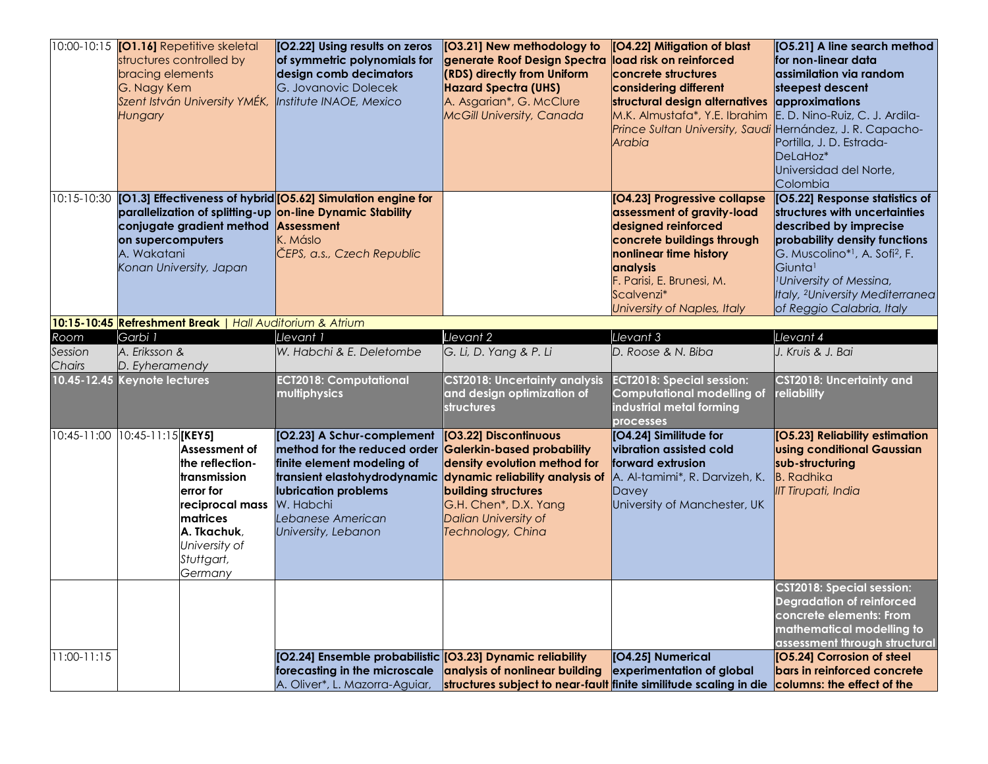|                 |                              | 10:00-10:15 [01.16] Repetitive skeletal                  | [O2.22] Using results on zeros                                           | [O3.21] New methodology to                                                                   | [O4.22] Mitigation of blast                               | [O5.21] A line search method                           |
|-----------------|------------------------------|----------------------------------------------------------|--------------------------------------------------------------------------|----------------------------------------------------------------------------------------------|-----------------------------------------------------------|--------------------------------------------------------|
|                 |                              | structures controlled by                                 | of symmetric polynomials for                                             | generate Roof Design Spectra                                                                 | load risk on reinforced                                   | for non-linear data                                    |
|                 | bracing elements             |                                                          | design comb decimators                                                   | (RDS) directly from Uniform                                                                  | concrete structures                                       | assimilation via random                                |
|                 | G. Nagy Kem                  |                                                          | G. Jovanovic Dolecek                                                     | <b>Hazard Spectra (UHS)</b>                                                                  | considering different                                     | steepest descent                                       |
|                 |                              | Szent István University YMÉK,                            | Institute INAOE, Mexico                                                  | A. Asgarian*, G. McClure                                                                     | structural design alternatives approximations             |                                                        |
|                 | Hungary                      |                                                          |                                                                          | McGill University, Canada                                                                    | M.K. Almustafa*, Y.E. Ibrahim                             | E. D. Nino-Ruiz, C. J. Ardila-                         |
|                 |                              |                                                          |                                                                          |                                                                                              | Prince Sultan University, Saudi Hernández, J. R. Capacho- |                                                        |
|                 |                              |                                                          |                                                                          |                                                                                              | Arabia                                                    | Portilla, J. D. Estrada-                               |
|                 |                              |                                                          |                                                                          |                                                                                              |                                                           | DeLaHoz*                                               |
|                 |                              |                                                          |                                                                          |                                                                                              |                                                           | Universidad del Norte,<br>Colombia                     |
|                 |                              |                                                          | 10:15-10:30 [O1.3] Effectiveness of hybrid [O5.62] Simulation engine for |                                                                                              | [O4.23] Progressive collapse                              | [O5.22] Response statistics of                         |
|                 |                              |                                                          | parallelization of splitting-up on-line Dynamic Stability                |                                                                                              | assessment of gravity-load                                | structures with uncertainties                          |
|                 |                              | conjugate gradient method                                | Assessment                                                               |                                                                                              | designed reinforced                                       | described by imprecise                                 |
|                 | on supercomputers            |                                                          | K. Máslo                                                                 |                                                                                              | concrete buildings through                                | probability density functions                          |
|                 | A. Wakatani                  |                                                          | ČEPS, a.s., Czech Republic                                               |                                                                                              | nonlinear time history                                    | G. Muscolino* <sup>1</sup> , A. Sofi <sup>2</sup> , F. |
|                 |                              | Konan University, Japan                                  |                                                                          |                                                                                              | analysis                                                  | Giunta <sup>1</sup>                                    |
|                 |                              |                                                          |                                                                          |                                                                                              | F. Parisi, E. Brunesi, M.                                 | <sup>1</sup> University of Messina,                    |
|                 |                              |                                                          |                                                                          |                                                                                              | Scalvenzi*                                                | Italy, <sup>2</sup> University Mediterranea            |
|                 |                              |                                                          |                                                                          |                                                                                              | <b>University of Naples, Italy</b>                        | of Reggio Calabria, Italy                              |
|                 |                              | 10:15-10:45 Refreshment Break   Hall Auditorium & Atrium |                                                                          |                                                                                              |                                                           |                                                        |
| Room            | Garbi 1                      |                                                          | Llevant 1                                                                | Llevant 2                                                                                    | Llevant 3                                                 | Llevant 4                                              |
| Session         | A. Eriksson &                |                                                          | W. Habchi & E. Deletombe                                                 | G. Li, D. Yang & P. Li                                                                       | D. Roose & N. Biba                                        | J. Kruis & J. Bai                                      |
| <b>Chairs</b>   | D. Eyheramendy               |                                                          |                                                                          |                                                                                              |                                                           |                                                        |
|                 | 10.45-12.45 Keynote lectures |                                                          | <b>ECT2018: Computational</b>                                            | <b>CST2018: Uncertainty analysis</b>                                                         | <b>ECT2018: Special session:</b>                          | <b>CST2018: Uncertainty and</b>                        |
|                 |                              |                                                          | multiphysics                                                             | and design optimization of                                                                   | Computational modelling of                                | reliability                                            |
|                 |                              |                                                          |                                                                          | <b>structures</b>                                                                            | industrial metal forming                                  |                                                        |
|                 |                              |                                                          |                                                                          |                                                                                              | processes                                                 |                                                        |
| 10:45-11:00     | $10:45-11:15$ [KEY5]         |                                                          | [O2.23] A Schur-complement                                               | [O3.22] Discontinuous                                                                        | [O4.24] Similitude for                                    | [O5.23] Reliability estimation                         |
|                 |                              | <b>Assessment of</b>                                     | method for the reduced order Galerkin-based probability                  |                                                                                              | vibration assisted cold                                   | <b>Using conditional Gaussian</b>                      |
|                 |                              | the reflection-                                          | finite element modeling of                                               | density evolution method for                                                                 | forward extrusion                                         | sub-structuring                                        |
|                 |                              | transmission                                             | transient elastohydrodynamic dynamic reliability analysis of             |                                                                                              | A. Al-tamimi*, R. Darvizeh, K.<br>Davey                   | <b>B.</b> Radhika                                      |
|                 |                              | error for                                                | <b>lubrication problems</b><br>W. Habchi                                 | building structures<br>G.H. Chen*, D.X. Yang                                                 | University of Manchester, UK                              | <b>IIT Tirupati, India</b>                             |
|                 |                              | reciprocal mass<br>Imatrices                             | Lebanese American                                                        | <b>Dalian University of</b>                                                                  |                                                           |                                                        |
|                 |                              | A. Tkachuk,                                              | University, Lebanon                                                      | Technology, China                                                                            |                                                           |                                                        |
|                 |                              | University of                                            |                                                                          |                                                                                              |                                                           |                                                        |
|                 |                              | Stuttgart,                                               |                                                                          |                                                                                              |                                                           |                                                        |
|                 |                              | Germany                                                  |                                                                          |                                                                                              |                                                           |                                                        |
|                 |                              |                                                          |                                                                          |                                                                                              |                                                           | <b>CST2018: Special session:</b>                       |
|                 |                              |                                                          |                                                                          |                                                                                              |                                                           | <b>Degradation of reinforced</b>                       |
|                 |                              |                                                          |                                                                          |                                                                                              |                                                           | concrete elements: From                                |
|                 |                              |                                                          |                                                                          |                                                                                              |                                                           | mathematical modelling to                              |
|                 |                              |                                                          |                                                                          |                                                                                              |                                                           | assessment through structural                          |
| $11:00 - 11:15$ |                              |                                                          | [O2.24] Ensemble probabilistic [O3.23] Dynamic reliability               |                                                                                              | [O4.25] Numerical                                         | [O5.24] Corrosion of steel                             |
|                 |                              |                                                          | forecasting in the microscale                                            | analysis of nonlinear building                                                               | experimentation of global                                 | bars in reinforced concrete                            |
|                 |                              |                                                          | A. Oliver*, L. Mazorra-Aguiar,                                           | structures subject to near-fault finite similitude scaling in die columns: the effect of the |                                                           |                                                        |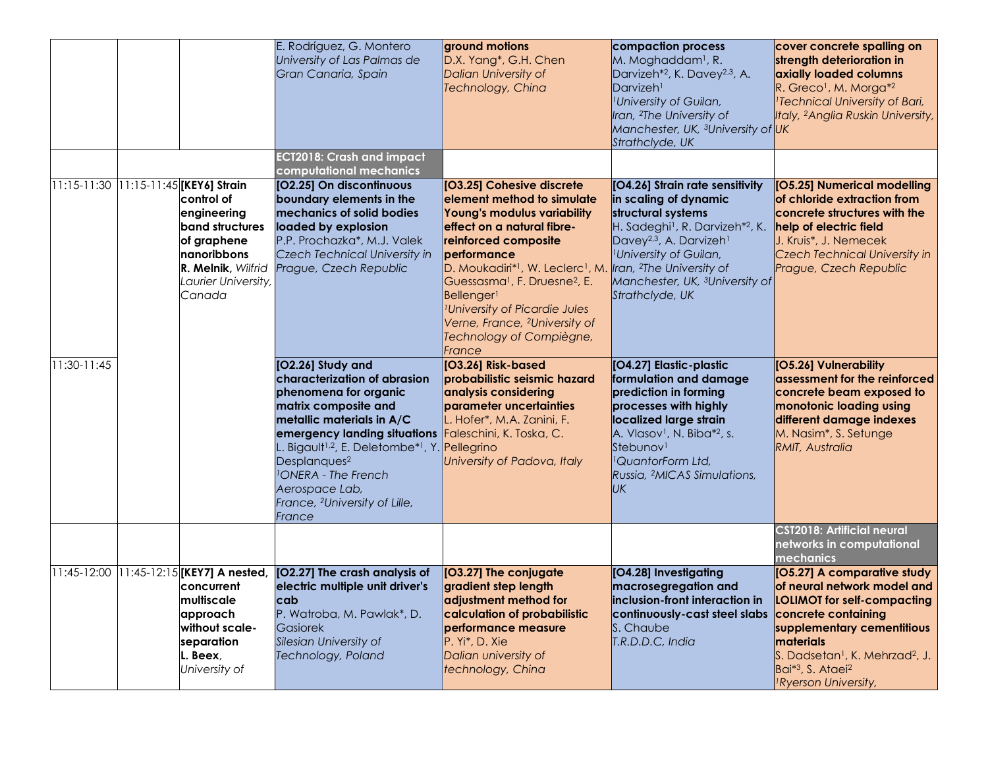|             |                                                                                                                                                                            | E. Rodríguez, G. Montero<br>University of Las Palmas de<br>Gran Canaria, Spain                                                                                                                                                                                                                                                                                              | ground motions<br>D.X. Yang*, G.H. Chen<br>Dalian University of<br>Technology, China                                                                                                                                                                                                                                                                                                                                                                                        | compaction process<br>M. Moghaddam <sup>1</sup> , R.<br>Darvizeh* <sup>2</sup> , K. Davey <sup>2,3</sup> , A.<br>Darvizeh <sup>1</sup><br><sup>1</sup> University of Guilan,<br>Iran, <sup>2</sup> The University of<br>Manchester, UK, <sup>3</sup> University of UK<br>Strathclyde, UK                                           | cover concrete spalling on<br>strength deterioration in<br>axially loaded columns<br>R. Greco <sup>1</sup> , M. Morga <sup>*2</sup><br><sup>1</sup> Technical University of Bari,<br>Italy, <sup>2</sup> Anglia Ruskin University,                                                                                     |
|-------------|----------------------------------------------------------------------------------------------------------------------------------------------------------------------------|-----------------------------------------------------------------------------------------------------------------------------------------------------------------------------------------------------------------------------------------------------------------------------------------------------------------------------------------------------------------------------|-----------------------------------------------------------------------------------------------------------------------------------------------------------------------------------------------------------------------------------------------------------------------------------------------------------------------------------------------------------------------------------------------------------------------------------------------------------------------------|------------------------------------------------------------------------------------------------------------------------------------------------------------------------------------------------------------------------------------------------------------------------------------------------------------------------------------|------------------------------------------------------------------------------------------------------------------------------------------------------------------------------------------------------------------------------------------------------------------------------------------------------------------------|
|             |                                                                                                                                                                            | <b>ECT2018: Crash and impact</b><br>computational mechanics                                                                                                                                                                                                                                                                                                                 |                                                                                                                                                                                                                                                                                                                                                                                                                                                                             |                                                                                                                                                                                                                                                                                                                                    |                                                                                                                                                                                                                                                                                                                        |
|             | 11:15-11:30 11:15-11:45 [KEY6] Strain<br>control of<br>engineering<br>band structures<br>of graphene<br>nanoribbons<br>R. Melnik, Wilfrid<br>Laurier University,<br>Canada | [O2.25] On discontinuous<br>boundary elements in the<br>mechanics of solid bodies<br>loaded by explosion<br>P.P. Prochazka*, M.J. Valek<br>Czech Technical University in<br>Prague, Czech Republic                                                                                                                                                                          | [O3.25] Cohesive discrete<br>element method to simulate<br>Young's modulus variability<br>effect on a natural fibre-<br>reinforced composite<br>performance<br>D. Moukadiri*1, W. Leclerc <sup>1</sup> , M. <i>Iran</i> , <sup>2</sup> The University of<br>Guessasma <sup>1</sup> , F. Druesne <sup>2</sup> , E.<br>Bellenger <sup>1</sup><br><sup>1</sup> University of Picardie Jules<br>Verne, France, <sup>2</sup> University of<br>Technology of Compiègne,<br>France | [O4.26] Strain rate sensitivity<br>in scaling of dynamic<br>structural systems<br>H. Sadeghi <sup>1</sup> , R. Darvizeh <sup>*2</sup> , K. <b>help of electric field</b><br>Davey <sup>2,3</sup> , A. Darvizeh <sup>1</sup><br><sup>1</sup> University of Guilan,<br>Manchester, UK, <sup>3</sup> University of<br>Strathclyde, UK | [O5.25] Numerical modelling<br>of chloride extraction from<br>concrete structures with the<br>J. Kruis*, J. Nemecek<br>Czech Technical University in<br>Prague, Czech Republic                                                                                                                                         |
| 11:30-11:45 |                                                                                                                                                                            | [O2.26] Study and<br>characterization of abrasion<br>phenomena for organic<br>matrix composite and<br>metallic materials in A/C<br>emergency landing situations<br>L. Bigault <sup>1,2</sup> , E. Deletombe*1, Y. <mark>Pellegrino</mark><br>Desplanques <sup>2</sup><br><b>ONERA</b> - The French<br>Aerospace Lab,<br>France, <sup>2</sup> University of Lille,<br>France | [O3.26] Risk-based<br>probabilistic seismic hazard<br>analysis considering<br>parameter uncertainties<br>L. Hofer*, M.A. Zanini, F.<br>Faleschini, K. Toska, C.<br>University of Padova, Italy                                                                                                                                                                                                                                                                              | [O4.27] Elastic-plastic<br>formulation and damage<br>prediction in forming<br>processes with highly<br>localized large strain<br>A. Vlasov <sup>1</sup> , N. Biba*2, s.<br>Stebunov <sup>1</sup><br><sup>1</sup> QuantorForm Ltd,<br>Russia, <sup>2</sup> MICAS Simulations,<br><b>UK</b>                                          | [O5.26] Vulnerability<br>assessment for the reinforced<br>concrete beam exposed to<br>monotonic loading using<br>different damage indexes<br>M. Nasim <sup>*</sup> , S. Setunge<br><b>RMIT, Australia</b>                                                                                                              |
|             |                                                                                                                                                                            |                                                                                                                                                                                                                                                                                                                                                                             |                                                                                                                                                                                                                                                                                                                                                                                                                                                                             |                                                                                                                                                                                                                                                                                                                                    | <b>CST2018: Artificial neural</b>                                                                                                                                                                                                                                                                                      |
|             |                                                                                                                                                                            |                                                                                                                                                                                                                                                                                                                                                                             |                                                                                                                                                                                                                                                                                                                                                                                                                                                                             |                                                                                                                                                                                                                                                                                                                                    | networks in computational<br>mechanics                                                                                                                                                                                                                                                                                 |
|             | 11:45-12:00 11:45-12:15 [KEY7] A nested,<br>concurrent<br>multiscale<br>approach<br>without scale-<br>separation<br>L. Beex,<br>University of                              | [O2.27] The crash analysis of<br>electric multiple unit driver's<br>cab<br>P. Watroba, M. Pawlak*, D.<br><b>Gasiorek</b><br>Silesian University of<br>Technology, Poland                                                                                                                                                                                                    | [O3.27] The conjugate<br>gradient step length<br>adjustment method for<br>calculation of probabilistic<br>performance measure<br>P. Yi*, D. Xie<br>Dalian university of<br>technology, China                                                                                                                                                                                                                                                                                | [O4.28] Investigating<br>macrosegregation and<br>inclusion-front interaction in<br>continuously-cast steel slabs<br>S. Chaube<br>T.R.D.D.C, India                                                                                                                                                                                  | [O5.27] A comparative study<br>of neural network model and<br><b>LOLIMOT</b> for self-compacting<br>concrete containing<br>supplementary cementitious<br><b>Imaterials</b><br>S. Dadsetan <sup>1</sup> , K. Mehrzad <sup>2</sup> , J.<br>Bai* <sup>3</sup> , S. Ataei <sup>2</sup><br><sup>1</sup> Ryerson University, |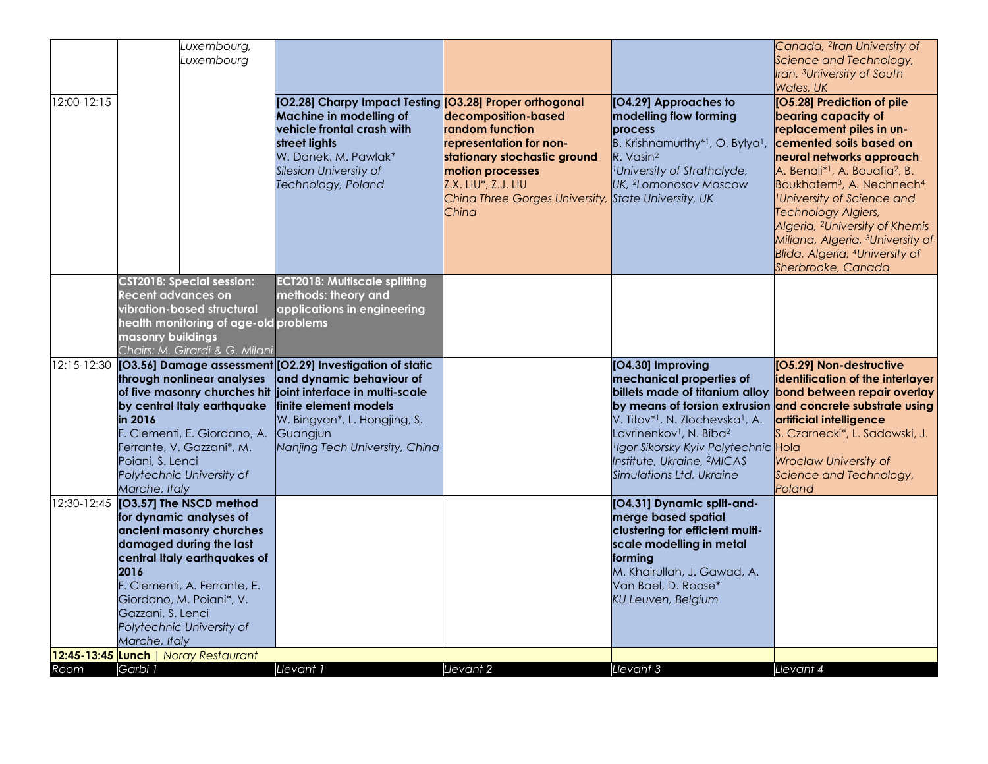|             | Luxembourg,<br>Luxembourg                                                                                                                                                                           |                                                                                                                                                                                                                                                             |                                                                                                                                                                                                              |                                                                                                                                                                                                                                                                                                                                                                                          | Canada, <sup>2</sup> Iran University of<br>Science and Technology,<br>Iran, <sup>3</sup> University of South<br>Wales, UK                                                                                                                                                                                                                                                                                                                                                        |
|-------------|-----------------------------------------------------------------------------------------------------------------------------------------------------------------------------------------------------|-------------------------------------------------------------------------------------------------------------------------------------------------------------------------------------------------------------------------------------------------------------|--------------------------------------------------------------------------------------------------------------------------------------------------------------------------------------------------------------|------------------------------------------------------------------------------------------------------------------------------------------------------------------------------------------------------------------------------------------------------------------------------------------------------------------------------------------------------------------------------------------|----------------------------------------------------------------------------------------------------------------------------------------------------------------------------------------------------------------------------------------------------------------------------------------------------------------------------------------------------------------------------------------------------------------------------------------------------------------------------------|
| 12:00-12:15 |                                                                                                                                                                                                     | [O2.28] Charpy Impact Testing [O3.28] Proper orthogonal<br>Machine in modelling of<br>vehicle frontal crash with<br>street lights<br>W. Danek, M. Pawlak*<br>Silesian University of<br>Technology, Poland                                                   | decomposition-based<br>random function<br>representation for non-<br>stationary stochastic ground<br>motion processes<br>Z.X. LIU*, Z.J. LIU<br>China Three Gorges University, State University, UK<br>China | [O4.29] Approaches to<br>modelling flow forming<br>process<br>B. Krishnamurthy* <sup>1</sup> , O. Bylya <sup>1</sup> ,<br>R. Vasin <sup>2</sup><br><sup>1</sup> University of Strathclyde,<br>UK, <sup>2</sup> Lomonosov Moscow                                                                                                                                                          | [O5.28] Prediction of pile<br>bearing capacity of<br>replacement piles in un-<br>cemented soils based on<br>neural networks approach<br>A. Benali* <sup>1</sup> , A. Bouafia <sup>2</sup> , B.<br>Boukhatem <sup>3</sup> , A. Nechnech <sup>4</sup><br>University of Science and<br><b>Technology Algiers,</b><br>Algeria, <sup>2</sup> University of Khemis<br>Miliana, Algeria, <sup>3</sup> University of<br>Blida, Algeria, <sup>4</sup> University of<br>Sherbrooke, Canada |
|             | <b>CST2018: Special session:</b><br><b>Recent advances on</b><br>vibration-based structural<br>health monitoring of age-old problems<br>masonry buildings<br>Chairs: M. Girardi & G. Milani         | <b>ECT2018: Multiscale splitting</b><br>methods: theory and<br>applications in engineering                                                                                                                                                                  |                                                                                                                                                                                                              |                                                                                                                                                                                                                                                                                                                                                                                          |                                                                                                                                                                                                                                                                                                                                                                                                                                                                                  |
| 12:15-12:30 | through nonlinear analyses<br>by central Italy earthquake<br>in 2016<br>F. Clementi, E. Giordano, A.<br>Ferrante, V. Gazzani*, M.<br>Poiani, S. Lenci<br>Polytechnic University of<br>Marche, Italy | [O3.56] Damage assessment [O2.29] Investigation of static<br>and dynamic behaviour of<br>of five masonry churches hit joint interface in multi-scale<br>finite element models<br>W. Bingyan*, L. Hongjing, S.<br>Guangjun<br>Nanjing Tech University, China |                                                                                                                                                                                                              | [O4.30] Improving<br>mechanical properties of<br>billets made of titanium alloy bond between repair overlay<br>by means of torsion extrusion and concrete substrate using<br>V. Titov*1, N. Zlochevska1, A.<br>Lavrinenkov <sup>1</sup> , N. Biba <sup>2</sup><br><sup>1</sup> Igor Sikorsky Kyiv Polytechnic Hola<br>Institute, Ukraine, <sup>2</sup> MICAS<br>Simulations Ltd, Ukraine | [O5.29] Non-destructive<br>identification of the interlayer<br>artificial intelligence<br>S. Czarnecki*, L. Sadowski, J.<br><b>Wroclaw University of</b><br>Science and Technology,<br>Poland                                                                                                                                                                                                                                                                                    |
| 12:30-12:45 | [O3.57] The NSCD method<br>for dynamic analyses of<br>ancient masonry churches<br>damaged during the last<br>central Italy earthquakes of                                                           |                                                                                                                                                                                                                                                             |                                                                                                                                                                                                              | [O4.31] Dynamic split-and-<br>merge based spatial<br>clustering for efficient multi-<br>scale modelling in metal<br>formina<br>M. Khairullah, J. Gawad, A.                                                                                                                                                                                                                               |                                                                                                                                                                                                                                                                                                                                                                                                                                                                                  |
|             | 2016<br>F. Clementi, A. Ferrante, E.<br>Giordano, M. Poiani*, V.<br>Gazzani, S. Lenci<br>Polytechnic University of<br>Marche, Italy<br>12:45-13:45 Lunch   Noray Restaurant                         |                                                                                                                                                                                                                                                             |                                                                                                                                                                                                              | Van Bael, D. Roose*<br><b>KU Leuven, Belgium</b>                                                                                                                                                                                                                                                                                                                                         |                                                                                                                                                                                                                                                                                                                                                                                                                                                                                  |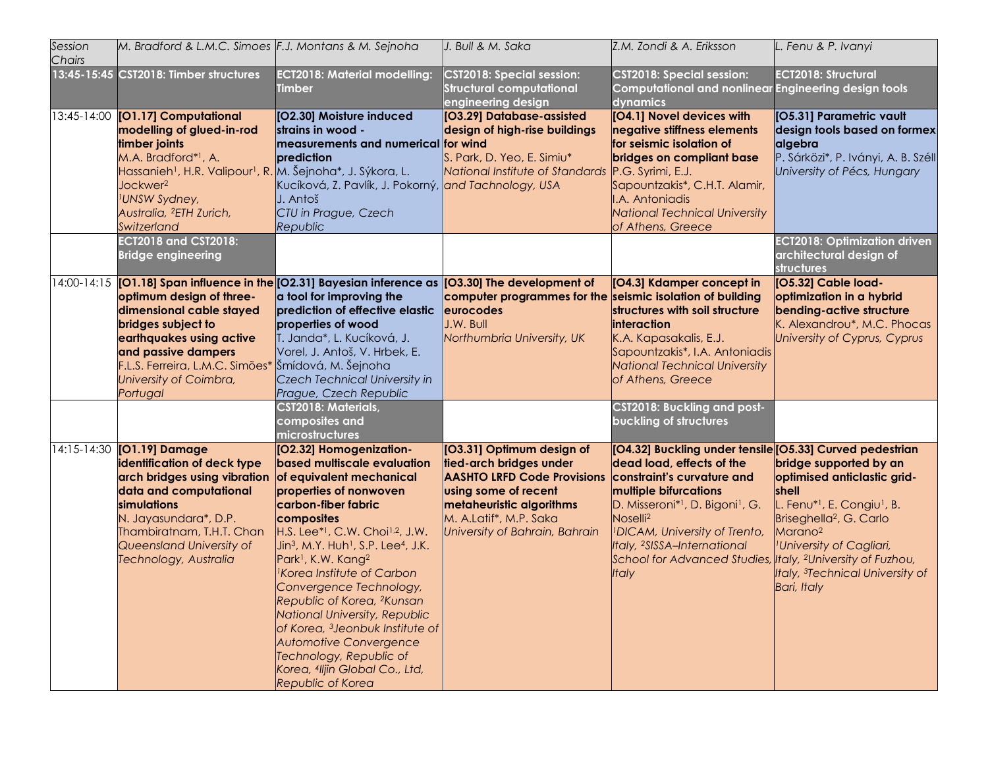| Session<br><b>Chairs</b> | M. Bradford & L.M.C. Simoes F.J. Montans & M. Sejnoha                                                                                                                                                                                                                                                            |                                                                                                                                                                                                                                                                                                                                                                                                                                                                                                                                                                                                                                                                | J. Bull & M. Saka                                                                                                                                                                                          | Z.M. Zondi & A. Eriksson                                                                                                                                                                                                                                                                                                                                                                               | L. Fenu & P. Ivanyi                                                                                                                                                                                                                                                                               |
|--------------------------|------------------------------------------------------------------------------------------------------------------------------------------------------------------------------------------------------------------------------------------------------------------------------------------------------------------|----------------------------------------------------------------------------------------------------------------------------------------------------------------------------------------------------------------------------------------------------------------------------------------------------------------------------------------------------------------------------------------------------------------------------------------------------------------------------------------------------------------------------------------------------------------------------------------------------------------------------------------------------------------|------------------------------------------------------------------------------------------------------------------------------------------------------------------------------------------------------------|--------------------------------------------------------------------------------------------------------------------------------------------------------------------------------------------------------------------------------------------------------------------------------------------------------------------------------------------------------------------------------------------------------|---------------------------------------------------------------------------------------------------------------------------------------------------------------------------------------------------------------------------------------------------------------------------------------------------|
|                          | 13:45-15:45 CST2018: Timber structures                                                                                                                                                                                                                                                                           | <b>ECT2018: Material modelling:</b><br>Timber                                                                                                                                                                                                                                                                                                                                                                                                                                                                                                                                                                                                                  | <b>CST2018: Special session:</b><br><b>Structural computational</b><br>engineering design                                                                                                                  | CST2018: Special session:<br>Computational and nonlinear Engineering design tools<br>dynamics                                                                                                                                                                                                                                                                                                          | <b>ECT2018: Structural</b>                                                                                                                                                                                                                                                                        |
|                          | 13:45-14:00 [O1.17] Computational<br>modelling of glued-in-rod<br>timber joints<br>M.A. Bradford* <sup>1</sup> , A.<br>Hassanieh <sup>1</sup> , H.R. Valipour <sup>1</sup> , R. M. Šejnoha*, J. Sýkora, L.<br>Jockwer <sup>2</sup><br><b>IUNSW Sydney,</b><br>Australia, <sup>2</sup> ETH Zurich,<br>Switzerland | [O2.30] Moisture induced<br>strains in wood -<br>measurements and numerical for wind<br><b>prediction</b><br>Kucíková, Z. Pavlík, J. Pokorný, and Tachnology, USA<br>J. Antoš<br>CTU in Prague, Czech<br>Republic                                                                                                                                                                                                                                                                                                                                                                                                                                              | [O3.29] Database-assisted<br>design of high-rise buildings<br>S. Park, D. Yeo, E. Simiu*<br>National Institute of Standards P.G. Syrimi, E.J.                                                              | [O4.1] Novel devices with<br>negative stiffness elements<br>for seismic isolation of<br>bridges on compliant base<br>Sapountzakis*, C.H.T. Alamir,<br>I.A. Antoniadis<br><b>National Technical University</b><br>of Athens, Greece                                                                                                                                                                     | [O5.31] Parametric vault<br>design tools based on formex<br>digebra<br>P. Sárközi*, P. Iványi, A. B. Széll<br>University of Pécs, Hungary                                                                                                                                                         |
|                          | <b>ECT2018 and CST2018:</b><br><b>Bridge engineering</b>                                                                                                                                                                                                                                                         |                                                                                                                                                                                                                                                                                                                                                                                                                                                                                                                                                                                                                                                                |                                                                                                                                                                                                            |                                                                                                                                                                                                                                                                                                                                                                                                        | <b>ECT2018: Optimization driven</b><br>architectural design of<br>structures                                                                                                                                                                                                                      |
|                          | optimum design of three-<br>dimensional cable stayed<br>bridges subject to<br>earthquakes using active<br>and passive dampers<br>F.L.S. Ferreira, L.M.C. Simões*<br>University of Coimbra,<br>Portugal                                                                                                           | 14:00-14:15 [01.18] Span influence in the [02.31] Bayesian inference as [03.30] The development of<br>a tool for improving the<br>prediction of effective elastic<br>properties of wood<br>T. Janda*, L. Kucíková, J.<br>Vorel, J. Antoš, V. Hrbek, E.<br>Šmídová, M. Šejnoha<br>Czech Technical University in<br>Prague, Czech Republic                                                                                                                                                                                                                                                                                                                       | computer programmes for the seismic isolation of building<br><b>leurocodes</b><br>J.W. Bull<br>Northumbria University, UK                                                                                  | [O4.3] Kdamper concept in<br>structures with soil structure<br>interaction<br>K.A. Kapasakalis, E.J.<br>Sapountzakis*, I.A. Antoniadis<br>National Technical University<br>of Athens, Greece                                                                                                                                                                                                           | [O5.32] Cable load-<br>optimization in a hybrid<br>bending-active structure<br>K. Alexandrou*, M.C. Phocas<br>University of Cyprus, Cyprus                                                                                                                                                        |
|                          |                                                                                                                                                                                                                                                                                                                  | CST2018: Materials,<br>composites and<br>microstructures                                                                                                                                                                                                                                                                                                                                                                                                                                                                                                                                                                                                       |                                                                                                                                                                                                            | <b>CST2018: Buckling and post-</b><br>buckling of structures                                                                                                                                                                                                                                                                                                                                           |                                                                                                                                                                                                                                                                                                   |
|                          | 14:15-14:30 [O1.19] Damage<br>identification of deck type<br>arch bridges using vibration<br>data and computational<br>simulations<br>N. Jayasundara*, D.P.<br>Thambiratnam, T.H.T. Chan<br>Queensland University of<br>Technology, Australia                                                                    | [O2.32] Homogenization-<br>based multiscale evaluation<br>of equivalent mechanical<br>properties of nonwoven<br>carbon-fiber fabric<br>composites<br>H.S. Lee* <sup>1</sup> , C.W. Choi <sup>1,2</sup> , J.W.<br>Jin <sup>3</sup> , M.Y. Huh <sup>1</sup> , S.P. Lee <sup>4</sup> , J.K.<br>Park <sup>1</sup> , K.W. Kang <sup>2</sup><br>Korea Institute of Carbon<br>Convergence Technology,<br>Republic of Korea, <sup>2</sup> Kunsan<br>National University, Republic<br>of Korea, <sup>3</sup> Jeonbuk Institute of<br><b>Automotive Convergence</b><br>Technology, Republic of<br>Korea, <sup>4</sup> lljin Global Co., Ltd,<br><b>Republic of Korea</b> | [O3.31] Optimum design of<br>tied-arch bridges under<br><b>AASHTO LRFD Code Provisions</b><br>using some of recent<br>metaheuristic algorithms<br>M. A.Latif*, M.P. Saka<br>University of Bahrain, Bahrain | [O4.32] Buckling under tensile [O5.33] Curved pedestrian<br>dead load, effects of the<br>constraint's curvature and<br>multiple bifurcations<br>D. Misseroni* <sup>1</sup> , D. Bigoni <sup>1</sup> , G.<br>Noselli <sup>2</sup><br>'DICAM, University of Trento,<br>Italy, <sup>2</sup> SISSA-International<br>School for Advanced Studies, Italy, <sup>2</sup> University of Fuzhou,<br><b>Italy</b> | bridge supported by an<br>optimised anticlastic grid-<br>shell<br>L. Fenu <sup>*1</sup> , E. Congiu <sup>1</sup> , B.<br>Briseghella <sup>2</sup> , G. Carlo<br>Marano <sup>2</sup><br><sup>1</sup> University of Cagliari,<br>Italy, <sup>3</sup> Technical University of<br><b>Bari</b> , Italy |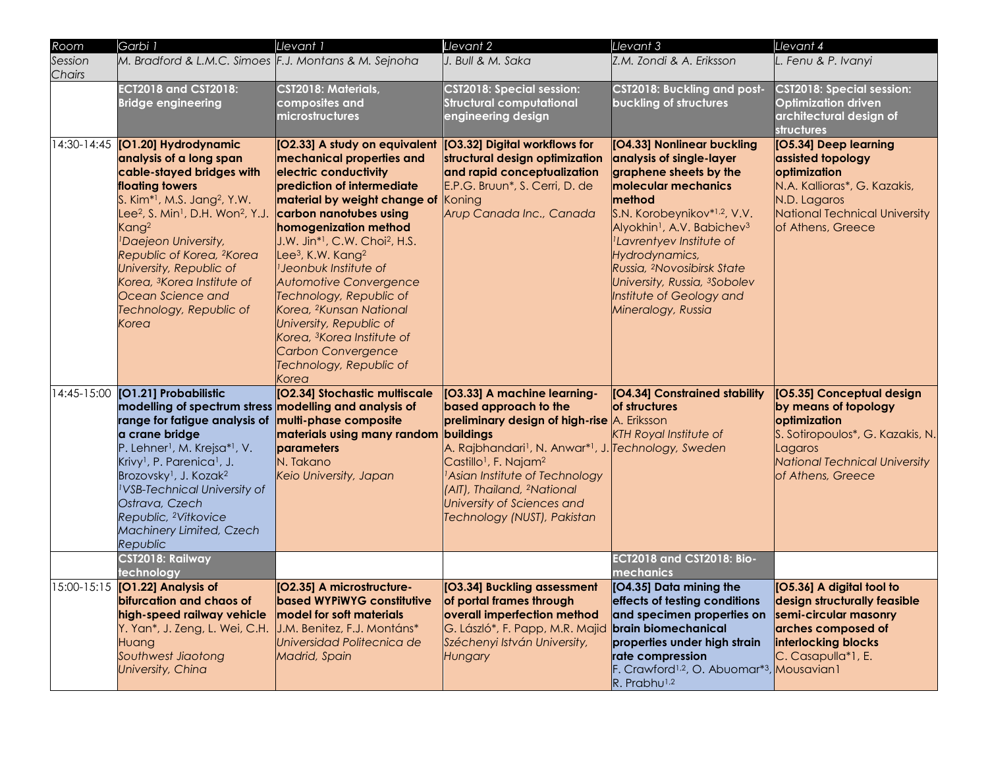| Room                     | Garbi 1                                                                                                                                                                                                                                                                                                                                                                                                                                                                      | Llevant 1                                                                                                                                                                                                                                                                                                                                                                                                                                                                                                                                                                    | Llevant 2                                                                                                                                                                                                                                                                                                                                                                                                  | Llevant 3                                                                                                                                                                                                                                                                                                                                                                                                 | Llevant 4                                                                                                                                                                     |
|--------------------------|------------------------------------------------------------------------------------------------------------------------------------------------------------------------------------------------------------------------------------------------------------------------------------------------------------------------------------------------------------------------------------------------------------------------------------------------------------------------------|------------------------------------------------------------------------------------------------------------------------------------------------------------------------------------------------------------------------------------------------------------------------------------------------------------------------------------------------------------------------------------------------------------------------------------------------------------------------------------------------------------------------------------------------------------------------------|------------------------------------------------------------------------------------------------------------------------------------------------------------------------------------------------------------------------------------------------------------------------------------------------------------------------------------------------------------------------------------------------------------|-----------------------------------------------------------------------------------------------------------------------------------------------------------------------------------------------------------------------------------------------------------------------------------------------------------------------------------------------------------------------------------------------------------|-------------------------------------------------------------------------------------------------------------------------------------------------------------------------------|
| Session<br><b>Chairs</b> | M. Bradford & L.M.C. Simoes F.J. Montans & M. Sejnoha                                                                                                                                                                                                                                                                                                                                                                                                                        |                                                                                                                                                                                                                                                                                                                                                                                                                                                                                                                                                                              | J. Bull & M. Saka                                                                                                                                                                                                                                                                                                                                                                                          | Z.M. Zondi & A. Eriksson                                                                                                                                                                                                                                                                                                                                                                                  | L. Fenu & P. Ivanyi                                                                                                                                                           |
|                          | <b>ECT2018 and CST2018:</b><br><b>Bridge engineering</b>                                                                                                                                                                                                                                                                                                                                                                                                                     | CST2018: Materials,<br>composites and<br>microstructures                                                                                                                                                                                                                                                                                                                                                                                                                                                                                                                     | <b>CST2018: Special session:</b><br><b>Structural computational</b><br>engineering design                                                                                                                                                                                                                                                                                                                  | <b>CST2018: Buckling and post-</b><br>buckling of structures                                                                                                                                                                                                                                                                                                                                              | <b>CST2018: Special session:</b><br><b>Optimization driven</b><br>architectural design of<br>structures                                                                       |
|                          | 14:30-14:45 [01.20] Hydrodynamic<br>analysis of a long span<br>cable-stayed bridges with<br>floating towers<br>S. Kim <sup>*1</sup> , M.S. Jang <sup>2</sup> , Y.W.<br>Lee <sup>2</sup> , S. Min <sup>1</sup> , D.H. Won <sup>2</sup> , Y.J.<br>Kang <sup>2</sup><br><sup>1</sup> Daejeon University,<br>Republic of Korea, <sup>2</sup> Korea<br>University, Republic of<br>Korea, <sup>3</sup> Korea Institute of<br>Ocean Science and<br>Technology, Republic of<br>Korea | [O2.33] A study on equivalent<br>mechanical properties and<br>electric conductivity<br>prediction of intermediate<br>material by weight change of<br>carbon nanotubes using<br>homogenization method<br>J.W. Jin*1, C.W. Choi <sup>2</sup> , H.S.<br>Lee <sup>3</sup> , K.W. Kang <sup>2</sup><br><sup>1</sup> Jeonbuk Institute of<br><b>Automotive Convergence</b><br>Technology, Republic of<br>Korea, <sup>2</sup> Kunsan National<br>University, Republic of<br>Korea, <sup>3</sup> Korea Institute of<br><b>Carbon Convergence</b><br>Technology, Republic of<br>Korea | [O3.32] Digital workflows for<br>structural design optimization<br>and rapid conceptualization<br>E.P.G. Bruun <sup>*</sup> , S. Cerri, D. de<br>Konina<br>Arup Canada Inc., Canada                                                                                                                                                                                                                        | [O4.33] Nonlinear buckling<br>analysis of single-layer<br>graphene sheets by the<br>molecular mechanics<br>method<br>S.N. Korobeynikov* <sup>1,2</sup> , V.V.<br>Alyokhin <sup>1</sup> , A.V. Babichev <sup>3</sup><br>'Lavrentyev Institute of<br>Hydrodynamics,<br>Russia, <sup>2</sup> Novosibirsk State<br>University, Russia, <sup>3</sup> Sobolev<br>Institute of Geology and<br>Mineralogy, Russia | [O5.34] Deep learning<br>assisted topology<br>optimization<br>N.A. Kallioras*, G. Kazakis,<br>N.D. Lagaros<br>National Technical University<br>of Athens, Greece              |
|                          | 14:45-15:00 [O1.21] Probabilistic<br>modelling of spectrum stress modelling and analysis of<br>range for fatigue analysis of<br>a crane bridge<br>P. Lehner <sup>1</sup> , M. Krejsa* <sup>1</sup> , V.<br>Krivy <sup>1</sup> , P. Parenica <sup>1</sup> , J.<br>Brozovsky <sup>1</sup> , J. Kozak <sup>2</sup><br>VSB-Technical University of<br>Ostrava, Czech<br>Republic, <sup>2</sup> Vitkovice<br><b>Machinery Limited, Czech</b><br>Republic                          | [O2.34] Stochastic multiscale<br>multi-phase composite<br>materials using many random<br>parameters<br>N. Takano<br>Keio University, Japan                                                                                                                                                                                                                                                                                                                                                                                                                                   | [O3.33] A machine learning-<br>based approach to the<br>$preliminary design of high-risk$ $A. Eriksson$<br>buildings<br>A. Rajbhandari <sup>1</sup> , N. Anwar <sup>*1</sup> , J. Technology, Sweden<br>Castillo <sup>1</sup> , F. Najam <sup>2</sup><br><sup>1</sup> Asian Institute of Technology<br>(AIT), Thailand, <sup>2</sup> National<br>University of Sciences and<br>Technology (NUST), Pakistan | [O4.34] Constrained stability<br>of structures<br><b>KTH Royal Institute of</b>                                                                                                                                                                                                                                                                                                                           | [O5.35] Conceptual design<br>by means of topology<br>optimization<br>S. Sotiropoulos*, G. Kazakis, N.<br>Lagaros<br><b>National Technical University</b><br>of Athens, Greece |
|                          | <b>CST2018: Railway</b><br>technology                                                                                                                                                                                                                                                                                                                                                                                                                                        |                                                                                                                                                                                                                                                                                                                                                                                                                                                                                                                                                                              |                                                                                                                                                                                                                                                                                                                                                                                                            | <b>ECT2018 and CST2018: Bio-</b><br>mechanics                                                                                                                                                                                                                                                                                                                                                             |                                                                                                                                                                               |
|                          | 15:00-15:15 [O1.22] Analysis of<br>bifurcation and chaos of<br>high-speed railway vehicle<br>Y. Yan*, J. Zeng, L. Wei, C.H.<br>Huang<br>Southwest Jiaotong<br>University, China                                                                                                                                                                                                                                                                                              | [O2.35] A microstructure-<br>based WYPIWYG constitutive<br>model for soft materials<br>J.M. Benitez, F.J. Montáns*<br>Universidad Politecnica de<br>Madrid, Spain                                                                                                                                                                                                                                                                                                                                                                                                            | [O3.34] Buckling assessment<br>of portal frames through<br>overall imperfection method<br>G. László*, F. Papp, M.R. Majid brain biomechanical<br>Széchenyi István University,<br><b>Hungary</b>                                                                                                                                                                                                            | [O4.35] Data mining the<br>effects of testing conditions<br>and specimen properties on<br>properties under high strain<br>rate compression<br>F. Crawford <sup>1,2</sup> , O. Abuomar <sup>*3</sup> , Mousavian1<br>R. Prabhu <sup>1,2</sup>                                                                                                                                                              | [O5.36] A digital tool to<br>design structurally feasible<br>semi-circular masonry<br>arches composed of<br>interlocking blocks<br>C. Casapulla*1, E.                         |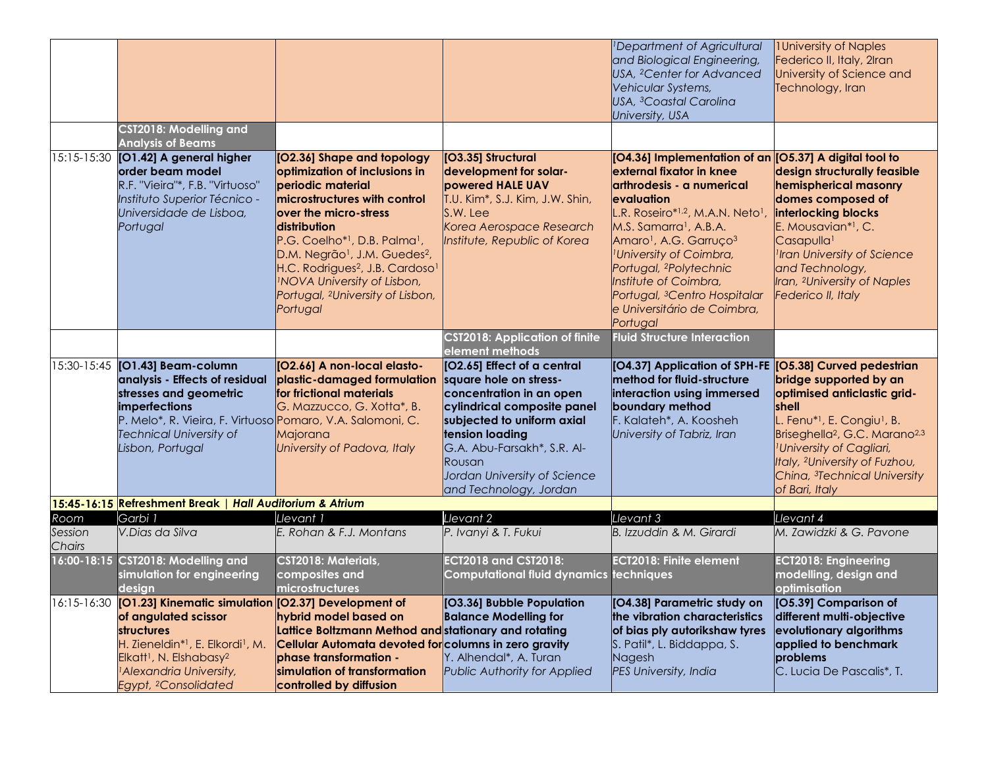|                           |                                                                                                                                                                                                                                                                                                         |                                                                                                                                                                                                                                                                                                                                                                                                                                               |                                                                                                                                                                                                                                                                             | <sup>1</sup> Department of Agricultural<br>and Biological Engineering,<br>USA, <sup>2</sup> Center for Advanced<br>Vehicular Systems,<br>USA, <sup>3</sup> Coastal Carolina<br>University, USA                                                                                                                                                                                                                                                                          | <b>1University of Naples</b><br>Federico II, Italy, 2Iran<br>University of Science and<br>Technology, Iran                                                                                                                                                                                                           |
|---------------------------|---------------------------------------------------------------------------------------------------------------------------------------------------------------------------------------------------------------------------------------------------------------------------------------------------------|-----------------------------------------------------------------------------------------------------------------------------------------------------------------------------------------------------------------------------------------------------------------------------------------------------------------------------------------------------------------------------------------------------------------------------------------------|-----------------------------------------------------------------------------------------------------------------------------------------------------------------------------------------------------------------------------------------------------------------------------|-------------------------------------------------------------------------------------------------------------------------------------------------------------------------------------------------------------------------------------------------------------------------------------------------------------------------------------------------------------------------------------------------------------------------------------------------------------------------|----------------------------------------------------------------------------------------------------------------------------------------------------------------------------------------------------------------------------------------------------------------------------------------------------------------------|
|                           | CST2018: Modelling and<br><b>Analysis of Beams</b>                                                                                                                                                                                                                                                      |                                                                                                                                                                                                                                                                                                                                                                                                                                               |                                                                                                                                                                                                                                                                             |                                                                                                                                                                                                                                                                                                                                                                                                                                                                         |                                                                                                                                                                                                                                                                                                                      |
| 15:15-15:30               | [O1.42] A general higher<br>order beam model<br>R.F. "Vieira"*, F.B. "Virtuoso"<br>Instituto Superior Técnico -<br>Universidade de Lisboa,<br>Portugal                                                                                                                                                  | [O2.36] Shape and topology<br>optimization of inclusions in<br>periodic material<br>microstructures with control<br>over the micro-stress<br>distribution<br>P.G. Coelho <sup>*1</sup> , D.B. Palma <sup>1</sup> ,<br>D.M. Negrão <sup>1</sup> , J.M. Guedes <sup>2</sup> ,<br>H.C. Rodrigues <sup>2</sup> , J.B. Cardoso <sup>1</sup><br><sup>1</sup> NOVA University of Lisbon,<br>Portugal, <sup>2</sup> University of Lisbon,<br>Portugal | [O3.35] Structural<br>development for solar-<br>powered HALE UAV<br>T.U. Kim <sup>*</sup> , S.J. Kim, J.W. Shin,<br>S.W. Lee<br>Korea Aerospace Research<br>Institute, Republic of Korea                                                                                    | [04.36] Implementation of an [05.37] A digital tool to<br>external fixator in knee<br>arthrodesis - a numerical<br><b>evaluation</b><br>L.R. Roseiro* <sup>1,2</sup> , M.A.N. Neto <sup>1</sup><br>M.S. Samarra <sup>1</sup> , A.B.A.<br>Amaro <sup>1</sup> , A.G. Garruço <sup>3</sup><br>University of Coimbra,<br>Portugal, <sup>2</sup> Polytechnic<br>Institute of Coimbra,<br>Portugal, <sup>3</sup> Centro Hospitalar<br>e Universitário de Coimbra,<br>Portugal | design structurally feasible<br>hemispherical masonry<br>domes composed of<br>interlocking blocks<br>E. Mousavian* <sup>1</sup> , C.<br>Casapulla <sup>1</sup><br><sup>1</sup> Iran University of Science<br>and Technology,<br>Iran, <sup>2</sup> University of Naples<br>Federico II, Italy                        |
|                           |                                                                                                                                                                                                                                                                                                         |                                                                                                                                                                                                                                                                                                                                                                                                                                               | <b>CST2018: Application of finite</b><br>element methods                                                                                                                                                                                                                    | <b>Fluid Structure Interaction</b>                                                                                                                                                                                                                                                                                                                                                                                                                                      |                                                                                                                                                                                                                                                                                                                      |
|                           | 15:30-15:45 [O1.43] Beam-column<br>analysis - Effects of residual<br>stresses and geometric<br><b>imperfections</b><br>P. Melo*, R. Vieira, F. Virtuoso Pomaro, V.A. Salomoni, C.<br><b>Technical University of</b><br>Lisbon, Portugal                                                                 | [O2.66] A non-local elasto-<br>plastic-damaged formulation<br>for frictional materials<br>G. Mazzucco, G. Xotta*, B.<br>Majorana<br>University of Padova, Italy                                                                                                                                                                                                                                                                               | [O2.65] Effect of a central<br>square hole on stress-<br>concentration in an open<br>cylindrical composite panel<br>subjected to uniform axial<br>tension loading<br>G.A. Abu-Farsakh*, S.R. Al-<br><b>Rousan</b><br>Jordan University of Science<br>and Technology, Jordan | [O4.37] Application of SPH-FE [O5.38] Curved pedestrian<br><b>Imethod for fluid-structure</b><br>interaction using immersed<br>boundary method<br>F. Kalateh*, A. Koosheh<br>University of Tabriz, Iran                                                                                                                                                                                                                                                                 | bridge supported by an<br>optimised anticlastic grid-<br>shell<br>L. Fenu* <sup>1</sup> , E. Congiu <sup>1</sup> , B.<br>Briseghella <sup>2</sup> , G.C. Marano <sup>2,3</sup><br>University of Cagliari,<br>Italy, <sup>2</sup> University of Fuzhou,<br>China, <sup>3</sup> Technical University<br>of Bari, Italy |
|                           | 15:45-16:15 Refreshment Break   Hall Auditorium & Atrium                                                                                                                                                                                                                                                |                                                                                                                                                                                                                                                                                                                                                                                                                                               | Llevant 2                                                                                                                                                                                                                                                                   |                                                                                                                                                                                                                                                                                                                                                                                                                                                                         | Llevant 4                                                                                                                                                                                                                                                                                                            |
| Room<br>Session<br>Chairs | Garbi 1<br>V.Dias da Silva                                                                                                                                                                                                                                                                              | Llevant 1<br>E. Rohan & F.J. Montans                                                                                                                                                                                                                                                                                                                                                                                                          | P. Ivanyi & T. Fukui                                                                                                                                                                                                                                                        | Llevant 3<br>B. Izzuddin & M. Girardi                                                                                                                                                                                                                                                                                                                                                                                                                                   | M. Zawidzki & G. Pavone                                                                                                                                                                                                                                                                                              |
|                           | 16:00-18:15 CST2018: Modelling and<br>simulation for engineering<br>design                                                                                                                                                                                                                              | <b>CST2018: Materials,</b><br>composites and<br>microstructures                                                                                                                                                                                                                                                                                                                                                                               | <b>ECT2018 and CST2018:</b><br><b>Computational fluid dynamics</b>                                                                                                                                                                                                          | <b>ECT2018: Finite element</b><br>techniques                                                                                                                                                                                                                                                                                                                                                                                                                            | <b>ECT2018: Engineering</b><br>modelling, design and<br>optimisation                                                                                                                                                                                                                                                 |
|                           | 16:15-16:30 [O1.23] Kinematic simulation [O2.37] Development of<br>of angulated scissor<br><b>structures</b><br>H. Zieneldin <sup>*1</sup> , E. Elkordi <sup>1</sup> , M.<br>Elkatt <sup>1</sup> , N. Elshabasy <sup>2</sup><br><sup>1</sup> Alexandria University,<br>Egypt, <sup>2</sup> Consolidated | hybrid model based on<br>Lattice Boltzmann Method and stationary and rotating<br>Cellular Automata devoted for columns in zero gravity<br>phase transformation -<br>simulation of transformation<br>controlled by diffusion                                                                                                                                                                                                                   | [O3.36] Bubble Population<br><b>Balance Modelling for</b><br>Y. Alhendal*, A. Turan<br>Public Authority for Applied                                                                                                                                                         | [O4.38] Parametric study on<br>the vibration characteristics<br>of bias ply autorikshaw tyres<br>S. Patil*, L. Biddappa, S.<br>Nagesh<br>PES University, India                                                                                                                                                                                                                                                                                                          | [O5.39] Comparison of<br>different multi-objective<br>evolutionary algorithms<br>applied to benchmark<br>problems<br>C. Lucia De Pascalis*, T.                                                                                                                                                                       |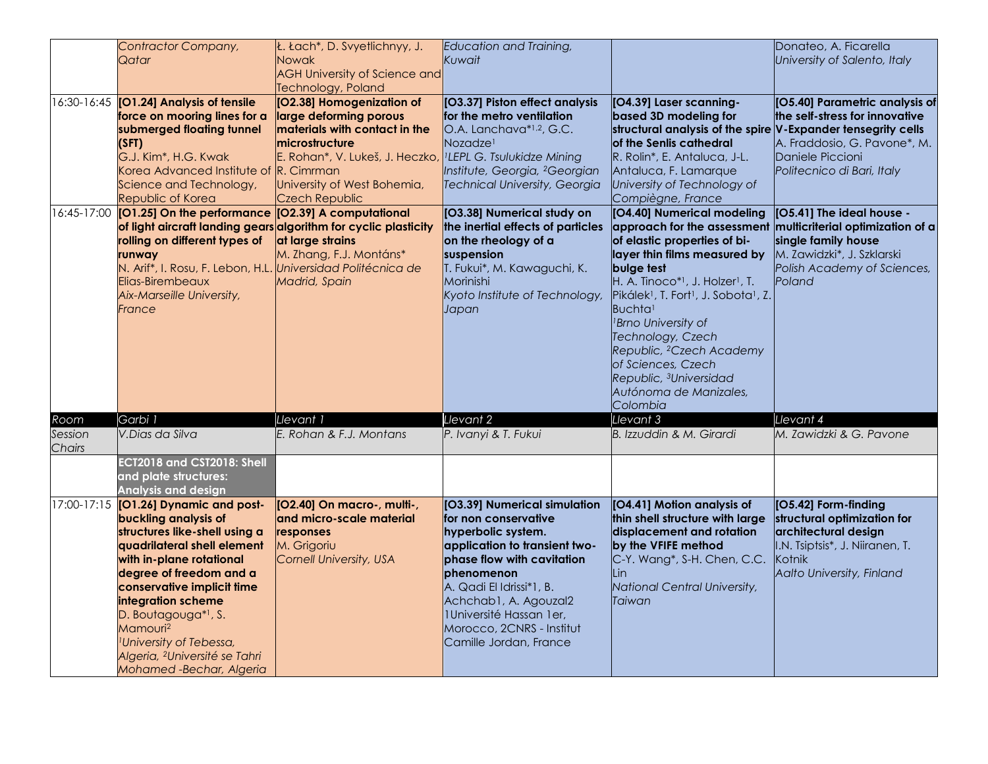|                            | Contractor Company,<br>Qatar                                                                                                                                                                                                                                                                                                                                                                                                                                 | Ł. Łach*, D. Svyetlichnyy, J.<br><b>Nowak</b><br><b>AGH University of Science and</b><br>Technology, Poland                                                                                                                                                                                                                                                          | Education and Training,<br>Kuwait                                                                                                                                                                                                                                                                                                                                                                         |                                                                                                                                                                                                                                                                                                                                                                                                                                                                                                                                                                                                                                                                                                                                               | Donateo, A. Ficarella<br>University of Salento, Italy                                                                                                                                                                                                                                                                                         |
|----------------------------|--------------------------------------------------------------------------------------------------------------------------------------------------------------------------------------------------------------------------------------------------------------------------------------------------------------------------------------------------------------------------------------------------------------------------------------------------------------|----------------------------------------------------------------------------------------------------------------------------------------------------------------------------------------------------------------------------------------------------------------------------------------------------------------------------------------------------------------------|-----------------------------------------------------------------------------------------------------------------------------------------------------------------------------------------------------------------------------------------------------------------------------------------------------------------------------------------------------------------------------------------------------------|-----------------------------------------------------------------------------------------------------------------------------------------------------------------------------------------------------------------------------------------------------------------------------------------------------------------------------------------------------------------------------------------------------------------------------------------------------------------------------------------------------------------------------------------------------------------------------------------------------------------------------------------------------------------------------------------------------------------------------------------------|-----------------------------------------------------------------------------------------------------------------------------------------------------------------------------------------------------------------------------------------------------------------------------------------------------------------------------------------------|
| 16:30-16:45<br>16:45-17:00 | [O1.24] Analysis of tensile<br>force on mooring lines for a<br>submerged floating tunnel<br>(SFT)<br>G.J. Kim <sup>*</sup> , H.G. Kwak<br>Korea Advanced Institute of R. Cimrman<br>Science and Technology,<br>Republic of Korea<br>[01.25] On the performance [02.39] A computational<br>rolling on different types of<br>runway<br>N. Arif*, I. Rosu, F. Lebon, H.L. Universidad Politécnica de<br>Elias-Birembeaux<br>Aix-Marseille University,<br>France | [O2.38] Homogenization of<br>large deforming porous<br>materials with contact in the<br>microstructure<br>E. Rohan*, V. Lukeš, J. Heczko, <sup> </sup> LEPL G. Tsulukidze Mining<br>University of West Bohemia,<br>Czech Republic<br>of light aircraft landing gears algorithm for cyclic plasticity<br>at large strains<br>M. Zhang, F.J. Montáns*<br>Madrid, Spain | [O3.37] Piston effect analysis<br>for the metro ventilation<br>O.A. Lanchava* <sup>1,2</sup> , G.C.<br>Nozadze <sup>1</sup><br>Institute, Georgia, <sup>2</sup> Georgian<br>Technical University, Georgia<br>[O3.38] Numerical study on<br>the inertial effects of particles<br>on the rheology of a<br>suspension<br>T. Fukui*, M. Kawaguchi, K.<br>Morinishi<br>Kyoto Institute of Technology,<br>Japan | [O4.39] Laser scanning-<br>based 3D modeling for<br>structural analysis of the spire V-Expander tensegrity cells<br>of the Senlis cathedral<br>R. Rolin*, E. Antaluca, J-L.<br>Antaluca, F. Lamarque<br>University of Technology of<br>Compiègne, France<br>[O4.40] Numerical modeling<br>of elastic properties of bi-<br>layer thin films measured by<br>bulge test<br>H. A. Tinoco* <sup>1</sup> , J. Holzer <sup>1</sup> , T.<br>Pikálek <sup>1</sup> , T. Fort <sup>1</sup> , J. Sobota <sup>1</sup> , Z.<br><b>Buchta</b> <sup>1</sup><br><sup>1</sup> Brno University of<br>Technology, Czech<br>Republic, <sup>2</sup> Czech Academy<br>of Sciences, Czech<br>Republic, <sup>3</sup> Universidad<br>Autónoma de Manizales,<br>Colombia | [O5.40] Parametric analysis of<br>the self-stress for innovative<br>A. Fraddosio, G. Pavone*, M.<br>Daniele Piccioni<br>Politecnico di Bari, Italy<br>[O5.41] The ideal house -<br>approach for the assessment multicriterial optimization of a<br>single family house<br>M. Zawidzki*, J. Szklarski<br>Polish Academy of Sciences,<br>Poland |
| Room                       | Garbi 1                                                                                                                                                                                                                                                                                                                                                                                                                                                      | Llevant 1                                                                                                                                                                                                                                                                                                                                                            | Llevant 2                                                                                                                                                                                                                                                                                                                                                                                                 | Llevant 3                                                                                                                                                                                                                                                                                                                                                                                                                                                                                                                                                                                                                                                                                                                                     | Llevant 4                                                                                                                                                                                                                                                                                                                                     |
| Session<br>Chairs          | V.Dias da Silva                                                                                                                                                                                                                                                                                                                                                                                                                                              | E. Rohan & F.J. Montans                                                                                                                                                                                                                                                                                                                                              | P. Ivanyi & T. Fukui                                                                                                                                                                                                                                                                                                                                                                                      | B. Izzuddin & M. Girardi                                                                                                                                                                                                                                                                                                                                                                                                                                                                                                                                                                                                                                                                                                                      | M. Zawidzki & G. Pavone                                                                                                                                                                                                                                                                                                                       |
|                            | ECT2018 and CST2018: Shell<br>and plate structures:<br><b>Analysis and design</b>                                                                                                                                                                                                                                                                                                                                                                            |                                                                                                                                                                                                                                                                                                                                                                      |                                                                                                                                                                                                                                                                                                                                                                                                           |                                                                                                                                                                                                                                                                                                                                                                                                                                                                                                                                                                                                                                                                                                                                               |                                                                                                                                                                                                                                                                                                                                               |
| 17:00-17:15                | [O1.26] Dynamic and post-<br>buckling analysis of<br>structures like-shell using a<br>quadrilateral shell element<br>with in-plane rotational<br>degree of freedom and a<br>conservative implicit time<br>integration scheme<br>D. Boutagouga* <sup>1</sup> , S.<br>Mamouri <sup>2</sup><br><sup>1</sup> University of Tebessa,<br>Algeria, <sup>2</sup> Université se Tahri<br>Mohamed-Bechar, Algeria                                                      | [O2.40] On macro-, multi-,<br>and micro-scale material<br>responses<br>M. Grigoriu<br>Cornell University, USA                                                                                                                                                                                                                                                        | [O3.39] Numerical simulation<br>for non conservative<br>hyperbolic system.<br>application to transient two-<br>phase flow with cavitation<br>phenomenon<br>A. Qadi El Idrissi*1, B.<br>Achchab1, A. Agouzal2<br>1 Université Hassan 1 er,<br>Morocco, 2CNRS - Institut<br>Camille Jordan, France                                                                                                          | [O4.41] Motion analysis of<br>thin shell structure with large<br>displacement and rotation<br>by the VFIFE method<br>C-Y. Wang*, S-H. Chen, C.C.<br>l in<br>National Central University,<br><b>Taiwan</b>                                                                                                                                                                                                                                                                                                                                                                                                                                                                                                                                     | [O5.42] Form-finding<br>structural optimization for<br>architectural design<br>I.N. Tsiptsis*, J. Niiranen, T.<br>Kotnik<br>Aalto University, Finland                                                                                                                                                                                         |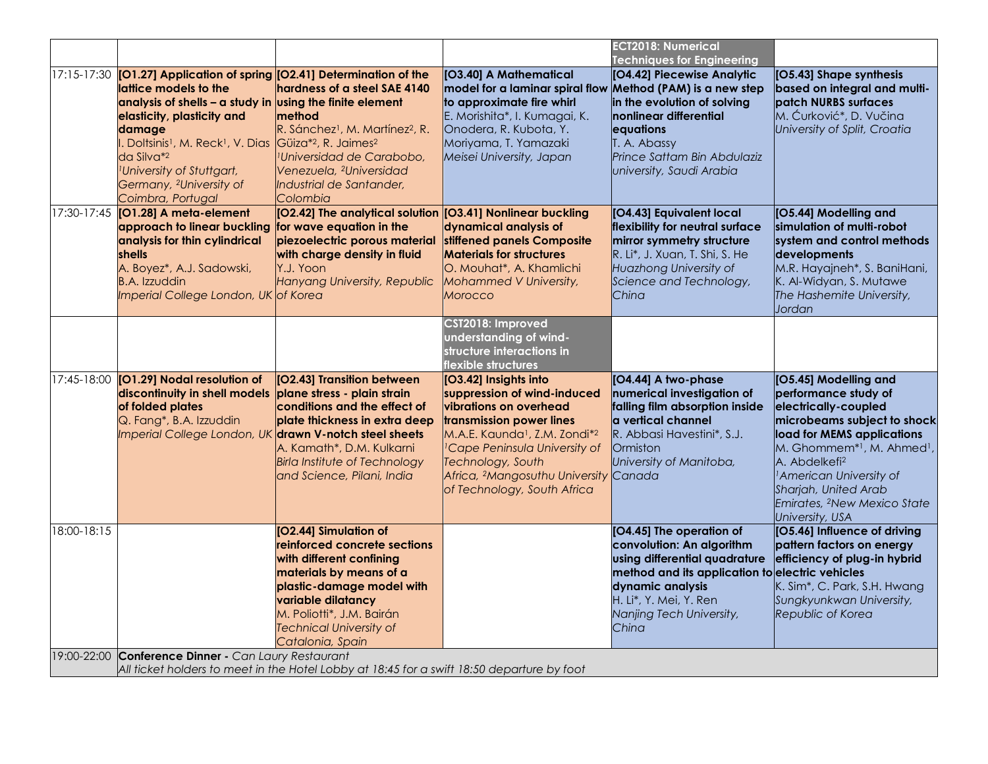|                 |                                                                                                                                                                                                                                                                                                                                                                                                                                         |                                                                                                                                                                                                                                                    |                                                                                                                                                                                                                                                                                                              | <b>ECT2018: Numerical</b>                                                                                                                                                                                                    |                                                                                                                                                                                                                                                                                                                                                    |
|-----------------|-----------------------------------------------------------------------------------------------------------------------------------------------------------------------------------------------------------------------------------------------------------------------------------------------------------------------------------------------------------------------------------------------------------------------------------------|----------------------------------------------------------------------------------------------------------------------------------------------------------------------------------------------------------------------------------------------------|--------------------------------------------------------------------------------------------------------------------------------------------------------------------------------------------------------------------------------------------------------------------------------------------------------------|------------------------------------------------------------------------------------------------------------------------------------------------------------------------------------------------------------------------------|----------------------------------------------------------------------------------------------------------------------------------------------------------------------------------------------------------------------------------------------------------------------------------------------------------------------------------------------------|
|                 | 17:15-17:30 <b>[O1.27] Application of spring [O2.41] Determination of the</b><br>lattice models to the<br>analysis of shells – a study in using the finite element<br>elasticity, plasticity and<br>damage<br>I. Doltsinis <sup>1</sup> , M. Reck <sup>1</sup> , V. Dias Güiza*2, R. Jaimes <sup>2</sup><br>da Silva <sup>*2</sup><br><sup>1</sup> University of Stuttgart,<br>Germany, <sup>2</sup> University of<br>Coimbra, Portugal | hardness of a steel SAE 4140<br>method<br>R. Sánchez <sup>1</sup> , M. Martínez <sup>2</sup> , R.<br><sup>1</sup> Universidad de Carabobo,<br>Venezuela, <sup>2</sup> Universidad<br>Industrial de Santander,<br>Colombia                          | [O3.40] A Mathematical<br>model for a laminar spiral flow Method (PAM) is a new step<br>to approximate fire whirl<br>E. Morishita*, I. Kumagai, K.<br>Onodera, R. Kubota, Y.<br>Moriyama, T. Yamazaki<br>Meisei University, Japan                                                                            | <b>Techniques for Engineering</b><br>[O4.42] Piecewise Analytic<br>in the evolution of solving<br>nonlinear differential<br>equations<br>T. A. Abassy<br>Prince Sattam Bin Abdulaziz<br>university, Saudi Arabia             | [O5.43] Shape synthesis<br>based on integral and multi-<br>patch NURBS surfaces<br>M. Ćurković*, D. Vučina<br>University of Split, Croatia                                                                                                                                                                                                         |
|                 | 17:30-17:45 [O1.28] A meta-element<br>approach to linear buckling<br>analysis for thin cylindrical<br><b>shells</b><br>A. Boyez*, A.J. Sadowski,<br><b>B.A. Izzuddin</b><br>Imperial College London, UK of Korea                                                                                                                                                                                                                        | [O2.42] The analytical solution [O3.41] Nonlinear buckling<br>for wave equation in the<br>piezoelectric porous material<br>with charge density in fluid<br>Y.J. Yoon<br>Hanyang University, Republic                                               | dynamical analysis of<br>stiffened panels Composite<br><b>Materials for structures</b><br>O. Mouhat*, A. Khamlichi<br>Mohammed V University,<br><b>Morocco</b>                                                                                                                                               | [O4.43] Equivalent local<br>flexibility for neutral surface<br>mirror symmetry structure<br>R. Li*, J. Xuan, T. Shi, S. He<br>Huazhong University of<br>Science and Technology,<br>China                                     | [O5.44] Modelling and<br>simulation of multi-robot<br>system and control methods<br>developments<br>M.R. Hayajneh*, S. BaniHani,<br>K. Al-Widyan, S. Mutawe<br>The Hashemite University,<br>Jordan                                                                                                                                                 |
|                 |                                                                                                                                                                                                                                                                                                                                                                                                                                         |                                                                                                                                                                                                                                                    | CST2018: Improved<br>understanding of wind-<br>structure interactions in<br>flexible structures                                                                                                                                                                                                              |                                                                                                                                                                                                                              |                                                                                                                                                                                                                                                                                                                                                    |
|                 | 17:45-18:00 [O1.29] Nodal resolution of<br>discontinuity in shell models<br>of folded plates<br>Q. Fang*, B.A. Izzuddin<br>Imperial College London, UK drawn V-notch steel sheets                                                                                                                                                                                                                                                       | [O2.43] Transition between<br>plane stress - plain strain<br>conditions and the effect of<br>plate thickness in extra deep<br>A. Kamath*, D.M. Kulkarni<br><b>Birla Institute of Technology</b><br>and Science, Pilani, India                      | [O3.42] Insights into<br>suppression of wind-induced<br>vibrations on overhead<br>transmission power lines<br>M.A.E. Kaunda <sup>1</sup> , Z.M. Zondi* <sup>2</sup><br>Cape Peninsula University of<br>Technology, South<br>Africa, <sup>2</sup> Mangosuthu University Canada<br>of Technology, South Africa | [O4.44] A two-phase<br>numerical investigation of<br>falling film absorption inside<br>a vertical channel<br>R. Abbasi Havestini*, S.J.<br>Ormiston<br>University of Manitoba,                                               | [O5.45] Modelling and<br>performance study of<br>electrically-coupled<br>microbeams subject to shock<br>load for MEMS applications<br>M. Ghommem <sup>*1</sup> , M. Ahmed <sup>1</sup> ,<br>A. Abdelkefi <sup>2</sup><br><sup>1</sup> American University of<br>Sharjah, United Arab<br>Emirates, <sup>2</sup> New Mexico State<br>University, USA |
| $18:00 - 18:15$ |                                                                                                                                                                                                                                                                                                                                                                                                                                         | [O2.44] Simulation of<br>reinforced concrete sections<br>with different confining<br>materials by means of a<br>plastic-damage model with<br>variable dilatancy<br>M. Poliotti*, J.M. Bairán<br><b>Technical University of</b><br>Catalonia, Spain |                                                                                                                                                                                                                                                                                                              | [O4.45] The operation of<br>convolution: An algorithm<br>using differential quadrature<br>method and its application to electric vehicles<br>dynamic analysis<br>H. Li*, Y. Mei, Y. Ren<br>Nanjing Tech University,<br>China | [O5.46] Influence of driving<br>pattern factors on energy<br>efficiency of plug-in hybrid<br>K. Sim <sup>*</sup> , C. Park, S.H. Hwang<br>Sungkyunkwan University,<br>Republic of Korea                                                                                                                                                            |
|                 | 19:00-22:00 Conference Dinner - Can Laury Restaurant<br>All ticket holders to meet in the Hotel Lobby at $18:45$ for a swift 18:50 departure by foot                                                                                                                                                                                                                                                                                    |                                                                                                                                                                                                                                                    |                                                                                                                                                                                                                                                                                                              |                                                                                                                                                                                                                              |                                                                                                                                                                                                                                                                                                                                                    |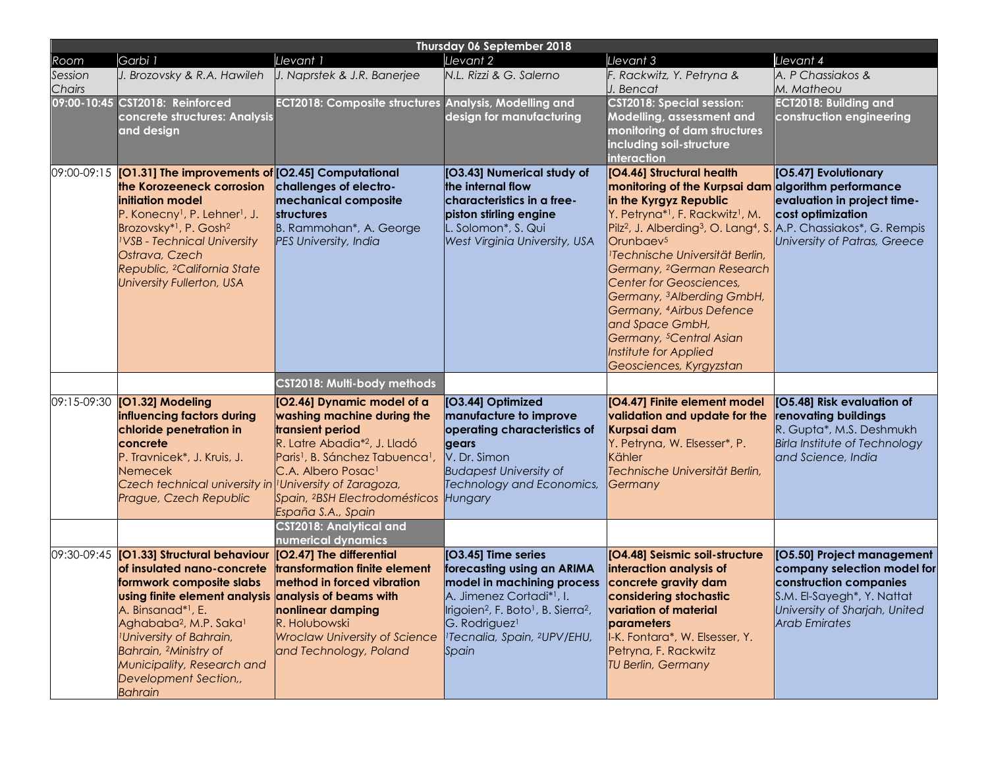|                   | Thursday 06 September 2018                                                                                                                                                                                                                                                                                                                                                                                       |                                                                                                                                                                                                                                                                             |                                                                                                                                                                                                                                                                                     |                                                                                                                                                                                                                                                                                                                                                                                                                                                                                                                                                                                                                            |                                                                                                                                                                            |  |
|-------------------|------------------------------------------------------------------------------------------------------------------------------------------------------------------------------------------------------------------------------------------------------------------------------------------------------------------------------------------------------------------------------------------------------------------|-----------------------------------------------------------------------------------------------------------------------------------------------------------------------------------------------------------------------------------------------------------------------------|-------------------------------------------------------------------------------------------------------------------------------------------------------------------------------------------------------------------------------------------------------------------------------------|----------------------------------------------------------------------------------------------------------------------------------------------------------------------------------------------------------------------------------------------------------------------------------------------------------------------------------------------------------------------------------------------------------------------------------------------------------------------------------------------------------------------------------------------------------------------------------------------------------------------------|----------------------------------------------------------------------------------------------------------------------------------------------------------------------------|--|
| Room              | Garbi 1                                                                                                                                                                                                                                                                                                                                                                                                          | Llevant 1                                                                                                                                                                                                                                                                   | Llevant 2                                                                                                                                                                                                                                                                           | Llevant 3                                                                                                                                                                                                                                                                                                                                                                                                                                                                                                                                                                                                                  | Llevant 4                                                                                                                                                                  |  |
| Session<br>Chairs | J. Brozovsky & R.A. Hawileh                                                                                                                                                                                                                                                                                                                                                                                      | J. Naprstek & J.R. Banerjee                                                                                                                                                                                                                                                 | N.L. Rizzi & G. Salerno                                                                                                                                                                                                                                                             | F. Rackwitz, Y. Petryna &<br>J. Bencat                                                                                                                                                                                                                                                                                                                                                                                                                                                                                                                                                                                     | A. P Chassiakos &<br>M. Matheou                                                                                                                                            |  |
|                   | 09:00-10:45 CST2018: Reinforced<br>concrete structures: Analysis<br>and design                                                                                                                                                                                                                                                                                                                                   | ECT2018: Composite structures Analysis, Modelling and                                                                                                                                                                                                                       | design for manufacturing                                                                                                                                                                                                                                                            | <b>CST2018: Special session:</b><br>Modelling, assessment and<br>monitoring of dam structures<br>including soil-structure<br>interaction                                                                                                                                                                                                                                                                                                                                                                                                                                                                                   | <b>ECT2018: Building and</b><br>construction engineering                                                                                                                   |  |
| 09:00-09:15       | [01.31] The improvements of [02.45] Computational<br>the Korozeeneck corrosion<br>initiation model<br>P. Konecny <sup>1</sup> , P. Lehner <sup>1</sup> , J.<br>Brozovsky* <sup>1</sup> , P. Gosh <sup>2</sup><br>VSB - Technical University<br>Ostrava, Czech<br>Republic, <sup>2</sup> California State<br>University Fullerton, USA                                                                            | challenges of electro-<br>mechanical composite<br>structures<br>B. Rammohan*, A. George<br><b>PES University, India</b>                                                                                                                                                     | [O3.43] Numerical study of<br>the internal flow<br>characteristics in a free-<br>piston stirling engine<br>L. Solomon*, S. Qui<br>West Virginia University, USA                                                                                                                     | [O4.46] Structural health<br>monitoring of the Kurpsai dam algorithm performance<br>in the Kyrgyz Republic<br>Y. Petryna* <sup>1</sup> , F. Rackwitz <sup>1</sup> , M.<br>Pilz <sup>2</sup> , J. Alberding <sup>3</sup> , O. Lang <sup>4</sup> , S. A.P. Chassiakos*, G. Rempis<br>Orunbaev <sup>5</sup><br><sup>1</sup> Technische Universität Berlin,<br>Germany, <sup>2</sup> German Research<br>Center for Geosciences,<br>Germany, <sup>3</sup> Alberding GmbH,<br>Germany, <sup>4</sup> Airbus Defence<br>and Space GmbH,<br>Germany, <sup>5</sup> Central Asian<br>Institute for Applied<br>Geosciences, Kyrgyzstan | [O5.47] Evolutionary<br>evaluation in project time-<br>cost optimization<br>University of Patras, Greece                                                                   |  |
|                   |                                                                                                                                                                                                                                                                                                                                                                                                                  | CST2018: Multi-body methods                                                                                                                                                                                                                                                 |                                                                                                                                                                                                                                                                                     |                                                                                                                                                                                                                                                                                                                                                                                                                                                                                                                                                                                                                            |                                                                                                                                                                            |  |
| 09:15-09:30       | [O1.32] Modeling<br>influencing factors during<br>chloride penetration in<br>concrete<br>P. Travnicek*, J. Kruis, J.<br>Nemecek<br>Czech technical university in <i>Vuniversity of Zaragoza</i> ,<br>Prague, Czech Republic                                                                                                                                                                                      | [O2.46] Dynamic model of a<br>washing machine during the<br>transient period<br>R. Latre Abadia*2, J. Lladó<br>Paris <sup>1</sup> , B. Sánchez Tabuenca <sup>1</sup> ,<br>C.A. Albero Posac <sup>1</sup><br>Spain, <sup>2</sup> BSH Electrodomésticos<br>España S.A., Spain | [O3.44] Optimized<br>manufacture to improve<br>operating characteristics of<br>gears<br>V. Dr. Simon<br><b>Budapest University of</b><br>Technology and Economics,<br>Hungary                                                                                                       | [O4.47] Finite element model<br>validation and update for the<br>Kurpsai dam<br>Y. Petryna, W. Elsesser*, P.<br><b>Kähler</b><br>Technische Universität Berlin,<br>Germany                                                                                                                                                                                                                                                                                                                                                                                                                                                 | [O5.48] Risk evaluation of<br>renovating buildings<br>R. Gupta*, M.S. Deshmukh<br><b>Birla Institute of Technology</b><br>and Science, India                               |  |
|                   |                                                                                                                                                                                                                                                                                                                                                                                                                  | <b>CST2018: Analytical and</b><br>numerical dynamics                                                                                                                                                                                                                        |                                                                                                                                                                                                                                                                                     |                                                                                                                                                                                                                                                                                                                                                                                                                                                                                                                                                                                                                            |                                                                                                                                                                            |  |
| 09:30-09:45       | [01.33] Structural behaviour [02.47] The differential<br>of insulated nano-concrete<br>formwork composite slabs<br>using finite element analysis analysis of beams with<br>A. Binsanad* <sup>1</sup> , E.<br>Aghababa <sup>2</sup> , M.P. Saka <sup>1</sup><br><sup>1</sup> University of Bahrain,<br>Bahrain, <sup>2</sup> Ministry of<br>Municipality, Research and<br>Development Section,,<br><b>Bahrain</b> | transformation finite element<br>method in forced vibration<br>nonlinear damping<br>R. Holubowski<br><b>Wroclaw University of Science</b><br>and Technology, Poland                                                                                                         | [O3.45] Time series<br>forecasting using an ARIMA<br>model in machining process<br>A. Jimenez Cortadi*1, I.<br>Irigoien <sup>2</sup> , F. Boto <sup>1</sup> , B. Sierra <sup>2</sup> ,<br>G. Rodriguez <sup>1</sup><br><sup>1</sup> Tecnalia, Spain, <sup>2</sup> UPV/EHU,<br>Spain | [O4.48] Seismic soil-structure<br>interaction analysis of<br>concrete gravity dam<br>considering stochastic<br>variation of material<br>parameters<br>I-K. Fontara*, W. Elsesser, Y.<br>Petryna, F. Rackwitz<br><b>TU Berlin, Germany</b>                                                                                                                                                                                                                                                                                                                                                                                  | [O5.50] Project management<br>company selection model for<br>construction companies<br>S.M. El-Sayegh*, Y. Nattat<br>University of Sharjah, United<br><b>Arab Emirates</b> |  |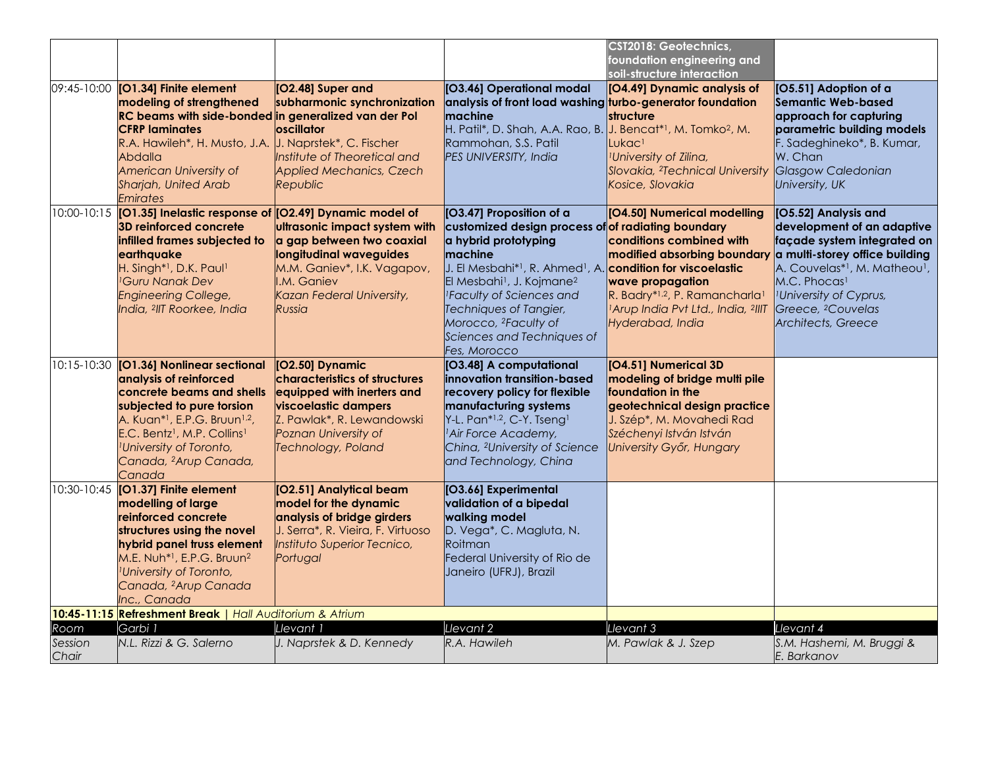|                  |                                                                                    |                                                           |                                                                                                               | CST2018: Geotechnics,<br>foundation engineering and                        |                                                                                   |
|------------------|------------------------------------------------------------------------------------|-----------------------------------------------------------|---------------------------------------------------------------------------------------------------------------|----------------------------------------------------------------------------|-----------------------------------------------------------------------------------|
|                  | 09:45-10:00 [O1.34] Finite element                                                 | [O2.48] Super and                                         | [O3.46] Operational modal                                                                                     | soil-structure interaction<br>[O4.49] Dynamic analysis of                  | [O5.51] Adoption of a                                                             |
|                  | modeling of strengthened                                                           | subharmonic synchronization                               | analysis of front load washing turbo-generator foundation                                                     |                                                                            | Semantic Web-based                                                                |
|                  | RC beams with side-bonded in generalized van der Pol                               |                                                           | machine                                                                                                       | structure                                                                  | approach for capturing                                                            |
|                  | <b>CFRP laminates</b><br>R.A. Hawileh*, H. Musto, J.A. J. Naprstek*, C. Fischer    | <b>oscillator</b>                                         | H. Patil*, D. Shah, A.A. Rao, B. J. Bencat* <sup>1</sup> , M. Tomko <sup>2</sup> , M.<br>Rammohan, S.S. Patil | Lukac <sup>1</sup>                                                         | parametric building models<br>F. Sadeghineko*, B. Kumar,                          |
|                  | <b>Abdalla</b>                                                                     | Institute of Theoretical and                              | PES UNIVERSITY, India                                                                                         | <sup>1</sup> University of Zilina,                                         | W. Chan                                                                           |
|                  | American University of                                                             | <b>Applied Mechanics, Czech</b>                           |                                                                                                               | Slovakia, <sup>2</sup> Technical University                                | <b>Glasgow Caledonian</b>                                                         |
|                  | Sharjah, United Arab                                                               | Republic                                                  |                                                                                                               | Kosice, Slovakia                                                           | University, UK                                                                    |
|                  | <b>Emirates</b>                                                                    |                                                           |                                                                                                               |                                                                            |                                                                                   |
| 10:00-10:15      | [01.35] Inelastic response of [02.49] Dynamic model of                             |                                                           | [O3.47] Proposition of a                                                                                      | [O4.50] Numerical modelling                                                | [O5.52] Analysis and                                                              |
|                  | 3D reinforced concrete                                                             | ultrasonic impact system with                             | customized design process of of radiating boundary                                                            |                                                                            | development of an adaptive                                                        |
|                  | infilled frames subjected to                                                       | a gap between two coaxial                                 | a hybrid prototyping                                                                                          | conditions combined with                                                   | façade system integrated on                                                       |
|                  | earthquake                                                                         | longitudinal waveguides                                   | <b>Imachine</b>                                                                                               | modified absorbing boundary a multi-storey office building                 |                                                                                   |
|                  | H. Singh* <sup>1</sup> , D.K. Paul <sup>1</sup>                                    | M.M. Ganiev*, I.K. Vagapov,                               | J. El Mesbahi* <sup>1</sup> , R. Ahmed <sup>1</sup> , A. <i>condition for viscoelastic</i>                    |                                                                            | A. Couvelas* <sup>1</sup> , M. Matheou <sup>1</sup> ,<br>M.C. Phocas <sup>1</sup> |
|                  | Guru Nanak Dev<br><b>Engineering College,</b>                                      | I.M. Ganiev<br>Kazan Federal University,                  | El Mesbahi <sup>1</sup> , J. Kojmane <sup>2</sup><br><sup>1</sup> Faculty of Sciences and                     | wave propagation<br>R. Badry* <sup>1,2</sup> , P. Ramancharla <sup>1</sup> | <sup>1</sup> University of Cyprus,                                                |
|                  | India, <sup>2</sup> IIT Roorkee, India                                             | Russia                                                    | Techniques of Tangier,                                                                                        | <sup>1</sup> Arup India Pvt Ltd., India, <sup>2</sup> IIIT                 | Greece, <sup>2</sup> Couvelas                                                     |
|                  |                                                                                    |                                                           | Morocco, <sup>2</sup> Faculty of                                                                              | Hyderabad, India                                                           | <b>Architects, Greece</b>                                                         |
|                  |                                                                                    |                                                           | Sciences and Techniques of                                                                                    |                                                                            |                                                                                   |
|                  |                                                                                    |                                                           | Fes, Morocco                                                                                                  |                                                                            |                                                                                   |
| 10:15-10:30      | [O1.36] Nonlinear sectional                                                        | $[O2.50]$ Dynamic                                         | [O3.48] A computational                                                                                       | [O4.51] Numerical 3D                                                       |                                                                                   |
|                  | analysis of reinforced                                                             | characteristics of structures                             | innovation transition-based                                                                                   | modeling of bridge multi pile                                              |                                                                                   |
|                  | concrete beams and shells                                                          | equipped with inerters and                                | recovery policy for flexible                                                                                  | foundation in the                                                          |                                                                                   |
|                  | subjected to pure torsion<br>A. Kuan* <sup>1</sup> , E.P.G. Bruun <sup>1,2</sup> , | <b>viscoelastic dampers</b><br>Z. Pawlak*, R. Lewandowski | manufacturing systems<br>Y-L. Pan*1,2, C-Y. Tseng1                                                            | geotechnical design practice<br>J. Szép*, M. Movahedi Rad                  |                                                                                   |
|                  | E.C. Bentz <sup>1</sup> , M.P. Collins <sup>1</sup>                                | Poznan University of                                      | <sup>1</sup> Air Force Academy,                                                                               | Széchenyi István István                                                    |                                                                                   |
|                  | University of Toronto,                                                             | Technology, Poland                                        | China, <sup>2</sup> University of Science                                                                     | University Győr, Hungary                                                   |                                                                                   |
|                  | Canada, <sup>2</sup> Arup Canada,                                                  |                                                           | and Technology, China                                                                                         |                                                                            |                                                                                   |
|                  | Canada                                                                             |                                                           |                                                                                                               |                                                                            |                                                                                   |
| 10:30-10:45      | [O1.37] Finite element                                                             | [O2.51] Analytical beam                                   | [O3.66] Experimental                                                                                          |                                                                            |                                                                                   |
|                  | modelling of large                                                                 | model for the dynamic                                     | validation of a bipedal                                                                                       |                                                                            |                                                                                   |
|                  | reinforced concrete                                                                | analysis of bridge girders                                | walking model                                                                                                 |                                                                            |                                                                                   |
|                  | structures using the novel                                                         | J. Serra*, R. Vieira, F. Virtuoso                         | D. Vega*, C. Magluta, N.                                                                                      |                                                                            |                                                                                   |
|                  | hybrid panel truss element<br>M.E. Nuh*1, E.P.G. Bruun <sup>2</sup>                | Instituto Superior Tecnico,<br>Portugal                   | Roitman<br>Federal University of Rio de                                                                       |                                                                            |                                                                                   |
|                  | University of Toronto,                                                             |                                                           | Janeiro (UFRJ), Brazil                                                                                        |                                                                            |                                                                                   |
|                  | Canada, <sup>2</sup> Arup Canada                                                   |                                                           |                                                                                                               |                                                                            |                                                                                   |
|                  | Inc., Canada                                                                       |                                                           |                                                                                                               |                                                                            |                                                                                   |
|                  | 10:45-11:15 Refreshment Break   Hall Auditorium & Atrium                           |                                                           |                                                                                                               |                                                                            |                                                                                   |
| Room             | Garbi 1                                                                            | Llevant 1                                                 | Llevant 2                                                                                                     | levant 3                                                                   | Llevant 4                                                                         |
| Session<br>Chair | N.L. Rizzi & G. Salerno                                                            | J. Naprstek & D. Kennedy                                  | R.A. Hawileh                                                                                                  | M. Pawlak & J. Szep                                                        | S.M. Hashemi, M. Bruggi &<br>E. Barkanov                                          |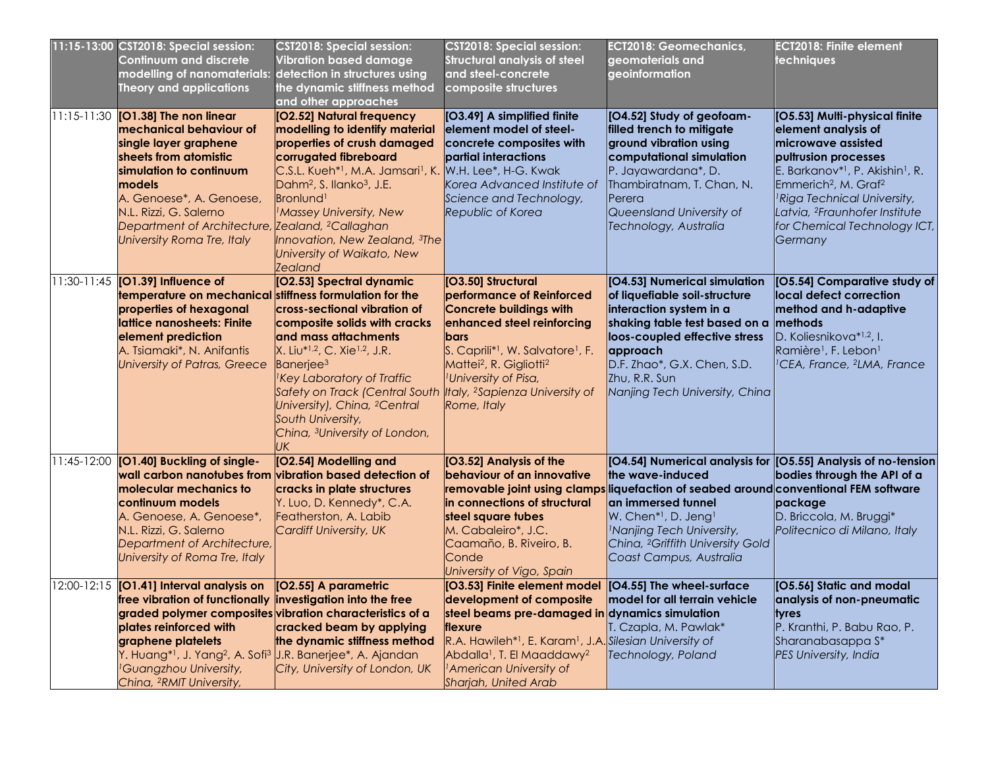| 11:15-13:00 CST2018: Special session:<br>Continuum and discrete<br>modelling of nanomaterials: detection in structures using<br><b>Theory and applications</b>                                                                                                                                              | <b>CST2018: Special session:</b><br><b>Vibration based damage</b><br>the dynamic stiffness method<br>and other approaches                                                                                                                                                                                                                                                                              | <b>CST2018: Special session:</b><br><b>Structural analysis of steel</b><br>and steel-concrete<br>composite structures                                                                                                                                                                                                                                           | <b>ECT2018: Geomechanics,</b><br>geomaterials and<br>aeoinformation                                                                                                                                                                                                                                                                        | <b>ECT2018: Finite element</b><br><b>lechniques</b>                                                                                                                                                                                                                                                                                               |
|-------------------------------------------------------------------------------------------------------------------------------------------------------------------------------------------------------------------------------------------------------------------------------------------------------------|--------------------------------------------------------------------------------------------------------------------------------------------------------------------------------------------------------------------------------------------------------------------------------------------------------------------------------------------------------------------------------------------------------|-----------------------------------------------------------------------------------------------------------------------------------------------------------------------------------------------------------------------------------------------------------------------------------------------------------------------------------------------------------------|--------------------------------------------------------------------------------------------------------------------------------------------------------------------------------------------------------------------------------------------------------------------------------------------------------------------------------------------|---------------------------------------------------------------------------------------------------------------------------------------------------------------------------------------------------------------------------------------------------------------------------------------------------------------------------------------------------|
| 11:15-11:30 [01.38] The non linear<br>mechanical behaviour of<br>single layer graphene<br>sheets from atomistic<br>simulation to continuum<br>models<br>A. Genoese*, A. Genoese,<br>N.L. Rizzi, G. Salerno<br>Department of Architecture, Zealand, <sup>2</sup> Callaghan<br>University Roma Tre, Italy     | [O2.52] Natural frequency<br>modelling to identify material<br>properties of crush damaged<br>corrugated fibreboard<br>C.S.L. Kueh* <sup>1</sup> , M.A. Jamsari <sup>1</sup> , K. W.H. Lee*, H-G. Kwak<br>Dahm <sup>2</sup> , S. Ilanko <sup>3</sup> , J.E.<br><b>Bronlund</b> <sup>1</sup><br>Massey University, New<br>Innovation, New Zealand, 3The<br>University of Waikato, New<br><b>Zealand</b> | [O3.49] A simplified finite<br>element model of steel-<br>concrete composites with<br>partial interactions<br>Korea Advanced Institute of<br>Science and Technology,<br>Republic of Korea                                                                                                                                                                       | [O4.52] Study of geofoam-<br>filled trench to mitigate<br>ground vibration using<br>computational simulation<br>P. Jayawardana*, D.<br>Thambiratnam, T. Chan, N.<br>Perera<br>Queensland University of<br>Technology, Australia                                                                                                            | [O5.53] Multi-physical finite<br>element analysis of<br>microwave assisted<br>pultrusion processes<br>E. Barkanov* <sup>1</sup> , P. Akishin <sup>1</sup> , R.<br>Emmerich <sup>2</sup> , M. Graf <sup>2</sup><br><sup>1</sup> Riga Technical University,<br>Latvia, <sup>2</sup> Fraunhofer Institute<br>for Chemical Technology ICT,<br>Germany |
| 11:30-11:45 [O1.39] Influence of<br>temperature on mechanical stiffness formulation for the<br>properties of hexagonal<br>lattice nanosheets: Finite<br>element prediction<br>A. Tsiamaki*, N. Anifantis<br><b>University of Patras, Greece</b>                                                             | [O2.53] Spectral dynamic<br>cross-sectional vibration of<br>composite solids with cracks<br>and mass attachments<br>X. Liu* <sup>1,2</sup> , C. Xie <sup>1,2</sup> , J.R.<br>Banerjee <sup>3</sup><br>Key Laboratory of Traffic<br>Safety on Track (Central South<br>University), China, <sup>2</sup> Central<br>South University,<br>China, <sup>3</sup> University of London,<br>UK                  | [O3.50] Structural<br>performance of Reinforced<br>Concrete buildings with<br>enhanced steel reinforcing<br><b>bars</b><br>S. Caprili* <sup>1</sup> , W. Salvatore <sup>1</sup> , F.<br>Mattei <sup>2</sup> , R. Gigliotti <sup>2</sup><br><sup>1</sup> University of Pisa,<br>Italy, <sup>2</sup> Sapienza University of<br>Rome, Italy                        | [O4.53] Numerical simulation<br>of liquefiable soil-structure<br>interaction system in a<br>shaking table test based on a methods<br>loos-coupled effective stress<br>approach<br>D.F. Zhao*, G.X. Chen, S.D.<br>Zhu, R.R. Sun<br>Nanjing Tech University, China                                                                           | [O5.54] Comparative study of<br>local defect correction<br>method and h-adaptive<br>D. Koliesnikova* <sup>1,2</sup> , I.<br>Ramière <sup>1</sup> , F. Lebon <sup>1</sup><br><sup>1</sup> CEA, France, <sup>2</sup> LMA, France                                                                                                                    |
| 11:45-12:00 [O1.40] Buckling of single-<br>wall carbon nanotubes from vibration based detection of<br>molecular mechanics to<br>continuum models<br>A. Genoese, A. Genoese*,<br>N.L. Rizzi, G. Salerno<br>Department of Architecture,<br>University of Roma Tre, Italy                                      | [O2.54] Modelling and<br>cracks in plate structures<br>Y. Luo, D. Kennedy*, C.A.<br>Featherston, A. Labib<br>Cardiff University, UK                                                                                                                                                                                                                                                                    | [O3.52] Analysis of the<br>behaviour of an innovative<br>in connections of structural<br>steel square tubes<br>M. Cabaleiro*, J.C.<br>Caamaño, B. Riveiro, B.<br>Conde<br>University of Vigo, Spain                                                                                                                                                             | [O4.54] Numerical analysis for [O5.55] Analysis of no-tension<br>the wave-induced<br>removable joint using clamps liquefaction of seabed around conventional FEM software<br>an immersed tunnel<br>W. Chen*1, D. Jeng1<br><sup>1</sup> Nanjing Tech University,<br>China, <sup>2</sup> Griffith University Gold<br>Coast Campus, Australia | bodies through the API of a<br>package<br>D. Briccola, M. Bruggi*<br>Politecnico di Milano, Italy                                                                                                                                                                                                                                                 |
| 12:00-12:15 [O1.41] Interval analysis on<br>free vibration of functionally<br>plates reinforced with<br>graphene platelets<br>Y. Huang* <sup>1</sup> , J. Yang <sup>2</sup> , A. Sofi <sup>3</sup> J.R. Banerjee*, A. Ajandan<br><sup>1</sup> Guangzhou University,<br>China, <sup>2</sup> RMIT University, | [O2.55] A parametric<br>investigation into the free<br>graded polymer composites vibration characteristics of a<br>cracked beam by applying<br>the dynamic stiffness method<br>City, University of London, UK                                                                                                                                                                                          | [O3.53] Finite element model [O4.55] The wheel-surface<br>development of composite<br>steel beams pre-damaged in dynamics simulation<br><b>flexure</b><br>R.A. Hawileh <sup>*1</sup> , E. Karam <sup>1</sup> , J.A. Silesian University of<br>Abdalla <sup>1</sup> , T. El Maaddawy <sup>2</sup><br><sup>1</sup> American University of<br>Sharjah, United Arab | model for all terrain vehicle<br>T. Czapla, M. Pawlak*<br>Technology, Poland                                                                                                                                                                                                                                                               | [O5.56] Static and modal<br>analysis of non-pneumatic<br>tyres<br>P. Kranthi, P. Babu Rao, P.<br>Sharanabasappa S*<br>PES University, India                                                                                                                                                                                                       |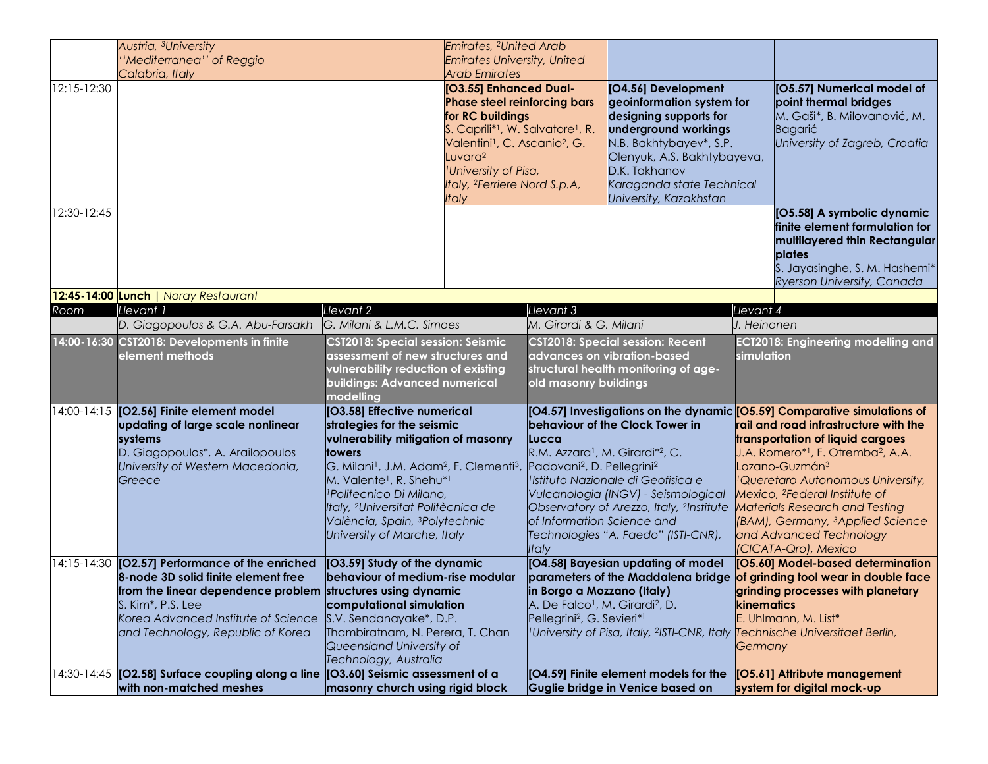|             | Austria, <sup>3</sup> University<br>'Mediterranea'' of Reggio<br>Calabria, Italy                                                                                                                                                                                    | Emirates, <sup>2</sup> United Arab<br><b>Emirates University, United</b><br><b>Arab Emirates</b>                                                                                                                                                                                                                                                                                                                    |                                                                                                                                             |                                                                                                                                                                                                                                                                        |                                                                                                                                                                                                                                                                                                                                                                                                                                                                    |
|-------------|---------------------------------------------------------------------------------------------------------------------------------------------------------------------------------------------------------------------------------------------------------------------|---------------------------------------------------------------------------------------------------------------------------------------------------------------------------------------------------------------------------------------------------------------------------------------------------------------------------------------------------------------------------------------------------------------------|---------------------------------------------------------------------------------------------------------------------------------------------|------------------------------------------------------------------------------------------------------------------------------------------------------------------------------------------------------------------------------------------------------------------------|--------------------------------------------------------------------------------------------------------------------------------------------------------------------------------------------------------------------------------------------------------------------------------------------------------------------------------------------------------------------------------------------------------------------------------------------------------------------|
| 12:15-12:30 |                                                                                                                                                                                                                                                                     | [O3.55] Enhanced Dual-<br>for RC buildings<br>Valentini <sup>1</sup> , C. Ascanio <sup>2</sup> , G.<br>Luvara <sup>2</sup><br><sup>1</sup> University of Pisa,<br>Italy, <sup>2</sup> Ferriere Nord S.p.A,<br><b>Italy</b>                                                                                                                                                                                          | <b>Phase steel reinforcing bars</b><br>S. Caprili* <sup>1</sup> , W. Salvatore <sup>1</sup> , R.                                            | [O4.56] Development<br>geoinformation system for<br>designing supports for<br>underground workings<br>N.B. Bakhtybayev*, S.P.<br>Olenyuk, A.S. Bakhtybayeva,<br>D.K. Takhanov<br>Karaganda state Technical<br>University, Kazakhstan                                   | [O5.57] Numerical model of<br>point thermal bridges<br>M. Gaši*, B. Milovanović, M.<br>Bagarić<br>University of Zagreb, Croatia                                                                                                                                                                                                                                                                                                                                    |
| 12:30-12:45 |                                                                                                                                                                                                                                                                     |                                                                                                                                                                                                                                                                                                                                                                                                                     |                                                                                                                                             |                                                                                                                                                                                                                                                                        | [O5.58] A symbolic dynamic<br>finite element formulation for<br>multilayered thin Rectangular<br>plates<br>S. Jayasinghe, S. M. Hashemi*<br>Ryerson University, Canada                                                                                                                                                                                                                                                                                             |
|             | 12:45-14:00 Lunch   Noray Restaurant                                                                                                                                                                                                                                |                                                                                                                                                                                                                                                                                                                                                                                                                     | levant 3                                                                                                                                    |                                                                                                                                                                                                                                                                        |                                                                                                                                                                                                                                                                                                                                                                                                                                                                    |
| Room        | Llevant 1<br>D. Giagopoulos & G.A. Abu-Farsakh                                                                                                                                                                                                                      | Llevant 2<br>G. Milani & L.M.C. Simoes                                                                                                                                                                                                                                                                                                                                                                              | M. Girardi & G. Milani                                                                                                                      |                                                                                                                                                                                                                                                                        | Llevant 4<br>J. Heinonen                                                                                                                                                                                                                                                                                                                                                                                                                                           |
|             | 14:00-16:30 CST2018: Developments in finite<br>element methods                                                                                                                                                                                                      | <b>CST2018: Special session: Seismic</b><br>assessment of new structures and<br>vulnerability reduction of existing<br>buildings: Advanced numerical<br>modelling                                                                                                                                                                                                                                                   | old masonry buildings                                                                                                                       | <b>CST2018: Special session: Recent</b><br>advances on vibration-based<br>structural health monitoring of age-                                                                                                                                                         | ECT2018: Engineering modelling and<br>simulation                                                                                                                                                                                                                                                                                                                                                                                                                   |
|             | 14:00-14:15 [O2.56] Finite element model<br>updating of large scale nonlinear<br>systems<br>D. Giagopoulos*, A. Arailopoulos<br>University of Western Macedonia,<br>Greece                                                                                          | [O3.58] Effective numerical<br>strategies for the seismic<br>vulnerability mitigation of masonry<br>towers<br>G. Milani <sup>1</sup> , J.M. Adam <sup>2</sup> , F. Clementi <sup>3</sup> ,<br>M. Valente <sup>1</sup> , R. Shehu* <sup>1</sup><br><sup>1</sup> Politecnico Di Milano,<br>Italy, <sup>2</sup> Universitat Politècnica de<br>València, Spain, <sup>3</sup> Polytechnic<br>University of Marche, Italy | Lucca<br>Padovani <sup>2</sup> , D. Pellegrini <sup>2</sup><br>of Information Science and<br><b>Italy</b>                                   | behaviour of the Clock Tower in<br>R.M. Azzara <sup>1</sup> , M. Girardi* <sup>2</sup> , C.<br>Istituto Nazionale di Geofisica e<br>Vulcanologia (INGV) - Seismological<br>Observatory of Arezzo, Italy, <sup>2</sup> Institute<br>Technologies "A. Faedo" (ISTI-CNR), | [O4.57] Investigations on the dynamic [O5.59] Comparative simulations of<br>rail and road infrastructure with the<br>transportation of liquid cargoes<br>J.A. Romero* <sup>1</sup> , F. Otremba <sup>2</sup> , A.A.<br>Lozano-Guzmán <sup>3</sup><br>Queretaro Autonomous University,<br>Mexico, <sup>2</sup> Federal Institute of<br><b>Materials Research and Testing</b><br>(BAM), Germany, 3Applied Science<br>and Advanced Technology<br>(CICATA-Qro), Mexico |
|             | 14:15-14:30 [O2.57] Performance of the enriched<br>8-node 3D solid finite element free<br>from the linear dependence problem structures using dynamic<br>S. Kim <sup>*</sup> , P.S. Lee<br>Korea Advanced Institute of Science<br>and Technology, Republic of Korea | [O3.59] Study of the dynamic<br>behaviour of medium-rise modular<br>computational simulation<br>S.V. Sendanayake*, D.P.<br>Thambiratnam, N. Perera, T. Chan<br>Queensland University of<br>Technology, Australia                                                                                                                                                                                                    | in Borgo a Mozzano (Italy)<br>A. De Falco <sup>1</sup> , M. Girardi <sup>2</sup> , D.<br>Pellegrini <sup>2</sup> , G. Sevieri* <sup>1</sup> | [O4.58] Bayesian updating of model                                                                                                                                                                                                                                     | [O5.60] Model-based determination<br>parameters of the Maddalena bridge of grinding tool wear in double face<br>grinding processes with planetary<br>kinematics<br>E. Uhlmann, M. List*<br>University of Pisa, Italy, 2ISTI-CNR, Italy <i>Technische Universitaet Berlin</i> ,<br>Germany                                                                                                                                                                          |
| 14:30-14:45 | [O2.58] Surface coupling along a line [O3.60] Seismic assessment of a<br>with non-matched meshes                                                                                                                                                                    | masonry church using rigid block                                                                                                                                                                                                                                                                                                                                                                                    |                                                                                                                                             | [O4.59] Finite element models for the<br>Guglie bridge in Venice based on                                                                                                                                                                                              | [O5.61] Attribute management<br>system for digital mock-up                                                                                                                                                                                                                                                                                                                                                                                                         |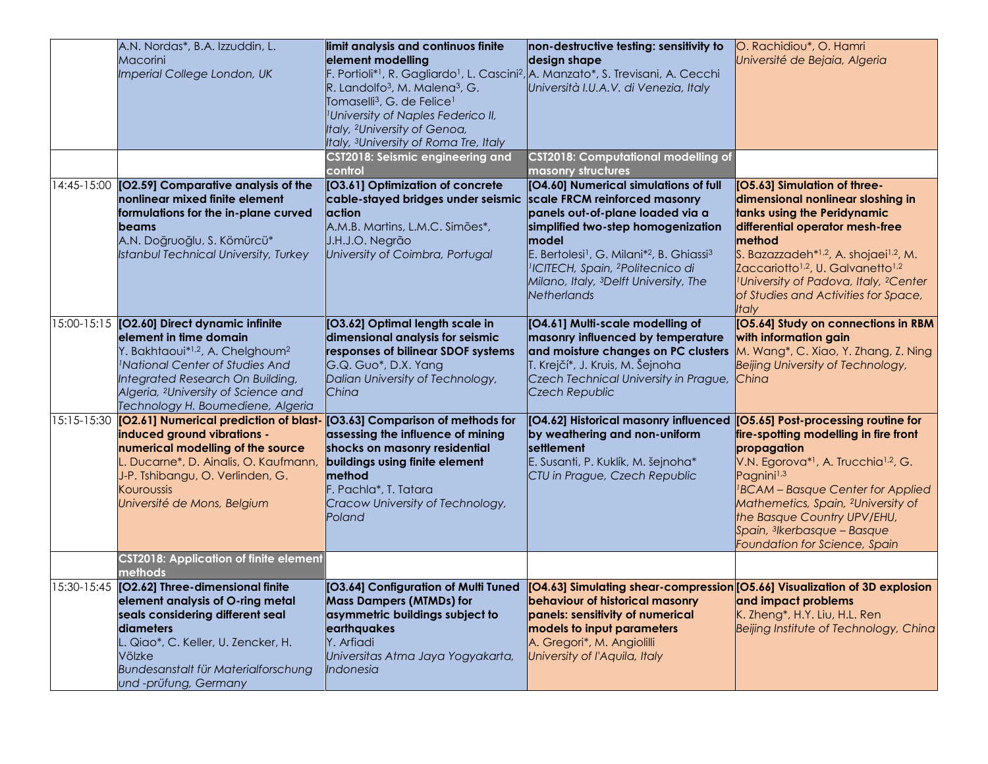|             | A.N. Nordas*, B.A. Izzuddin, L.<br>Macorini<br>Imperial College London, UK                                                                                                                                                                                                                                   | limit analysis and continuos finite<br>element modelling<br>F. Portioli* <sup>1</sup> , R. Gagliardo <sup>1</sup> , L. Cascini <sup>2</sup> , A. Manzato*, S. Trevisani, A. Cecchi<br>R. Landolfo <sup>3</sup> , M. Malena <sup>3</sup> , G.<br>Tomaselli <sup>3</sup> , G. de Felice <sup>1</sup><br><sup>1</sup> University of Naples Federico II,<br>Italy, <sup>2</sup> University of Genoa,<br>Italy, <sup>3</sup> University of Roma Tre, Italy | non-destructive testing: sensitivity to<br>design shape<br>Università I.U.A.V. di Venezia, Italy                                                                                                                                                                                                                                                                                   | O. Rachidiou*, O. Hamri<br>Université de Bejaia, Algeria                                                                                                                                                                                                                                                                                                                                 |
|-------------|--------------------------------------------------------------------------------------------------------------------------------------------------------------------------------------------------------------------------------------------------------------------------------------------------------------|-------------------------------------------------------------------------------------------------------------------------------------------------------------------------------------------------------------------------------------------------------------------------------------------------------------------------------------------------------------------------------------------------------------------------------------------------------|------------------------------------------------------------------------------------------------------------------------------------------------------------------------------------------------------------------------------------------------------------------------------------------------------------------------------------------------------------------------------------|------------------------------------------------------------------------------------------------------------------------------------------------------------------------------------------------------------------------------------------------------------------------------------------------------------------------------------------------------------------------------------------|
|             |                                                                                                                                                                                                                                                                                                              | CST2018: Seismic engineering and<br>control                                                                                                                                                                                                                                                                                                                                                                                                           | CST2018: Computational modelling of<br>masonry structures                                                                                                                                                                                                                                                                                                                          |                                                                                                                                                                                                                                                                                                                                                                                          |
| 14:45-15:00 | [O2.59] Comparative analysis of the<br>nonlinear mixed finite element<br>formulations for the in-plane curved<br>beams<br>A.N. Doğruoğlu, S. Kömürcü*<br>Istanbul Technical University, Turkey                                                                                                               | [O3.61] Optimization of concrete<br>cable-stayed bridges under seismic<br>laction<br>A.M.B. Martins, L.M.C. Simões*,<br>J.H.J.O. Negrão<br>University of Coimbra, Portugal                                                                                                                                                                                                                                                                            | [O4.60] Numerical simulations of full<br>scale FRCM reinforced masonry<br>panels out-of-plane loaded via a<br>simplified two-step homogenization<br>lmodel<br>E. Bertolesi <sup>1</sup> , G. Milani <sup>*2</sup> , B. Ghiassi <sup>3</sup><br><sup>1</sup> ICITECH, Spain, <sup>2</sup> Politecnico di<br>Milano, Italy, <sup>3</sup> Delft University, The<br><b>Netherlands</b> | [O5.63] Simulation of three-<br>dimensional nonlinear sloshing in<br>tanks using the Peridynamic<br>differential operator mesh-free<br>method<br>S. Bazazzadeh* <sup>1,2</sup> , A. shojaei <sup>1,2</sup> , M.<br>Zaccariotto <sup>1,2</sup> , U. Galvanetto <sup>1,2</sup><br>University of Padova, Italy, <sup>2</sup> Center<br>of Studies and Activities for Space,<br><b>Italy</b> |
|             | 15:00-15:15 [O2.60] Direct dynamic infinite<br>element in time domain<br>Y. Bakhtaoui* <sup>1,2</sup> , A. Chelghoum <sup>2</sup><br><sup>1</sup> National Center of Studies And<br>Integrated Research On Building,<br>Algeria, <sup>2</sup> University of Science and<br>Technology H. Boumediene, Algeria | [O3.62] Optimal length scale in<br>dimensional analysis for seismic<br>responses of bilinear SDOF systems<br>G.Q. Guo*, D.X. Yang<br>Dalian University of Technology,<br>China                                                                                                                                                                                                                                                                        | [O4.61] Multi-scale modelling of<br>masonry influenced by temperature<br>and moisture changes on PC clusters<br>T. Krejčí*, J. Kruis, M. Šejnoha<br>Czech Technical University in Prague,<br>Czech Republic                                                                                                                                                                        | [O5.64] Study on connections in RBM<br>with information gain<br>M. Wang*, C. Xiao, Y. Zhang, Z. Ning<br>Beijing University of Technology,<br>China                                                                                                                                                                                                                                       |
| 15:15-15:30 | [O2.61] Numerical prediction of blast- [O3.63] Comparison of methods for<br>induced ground vibrations -<br>numerical modelling of the source<br>L. Ducarne*, D. Ainalis, O. Kaufmann,<br>J-P. Tshibangu, O. Verlinden, G.<br>Kouroussis<br>Université de Mons, Belgium                                       | assessing the influence of mining<br>shocks on masonry residential<br>buildings using finite element<br>method<br>F. Pachla*, T. Tatara<br>Cracow University of Technology,<br>Poland                                                                                                                                                                                                                                                                 | [O4.62] Historical masonry influenced [O5.65] Post-processing routine for<br>by weathering and non-uniform<br>settlement<br>E. Susanti, P. Kuklík, M. šejnoha*<br>CTU in Prague, Czech Republic                                                                                                                                                                                    | fire-spotting modelling in fire front<br>propagation<br>V.N. Egorova* <sup>1</sup> , A. Trucchia <sup>1,2</sup> , G.<br>Pagnini <sup>1,3</sup><br>BCAM - Basque Center for Applied<br>Mathemetics, Spain, <sup>2</sup> University of<br>the Basque Country UPV/EHU,<br>Spain, <sup>3</sup> Ikerbasque - Basque<br>Foundation for Science, Spain                                          |
|             | <b>CST2018: Application of finite element</b><br>methods                                                                                                                                                                                                                                                     |                                                                                                                                                                                                                                                                                                                                                                                                                                                       |                                                                                                                                                                                                                                                                                                                                                                                    |                                                                                                                                                                                                                                                                                                                                                                                          |
|             | 15:30-15:45 [O2.62] Three-dimensional finite<br>element analysis of O-ring metal<br>seals considering different seal<br>diameters<br>L. Qiao*, C. Keller, U. Zencker, H.<br>Völzke<br>Bundesanstalt für Materialforschung<br>und-prüfung, Germany                                                            | [O3.64] Configuration of Multi Tuned<br><b>Mass Dampers (MTMDs) for</b><br>asymmetric buildings subject to<br>earthquakes<br>Y. Arfiadi<br>Universitas Atma Jaya Yogyakarta,<br><i><b>Indonesia</b></i>                                                                                                                                                                                                                                               | [O4.63] Simulating shear-compression [O5.66] Visualization of 3D explosion<br><b>behaviour of historical masonry</b><br>panels: sensitivity of numerical<br>models to input parameters<br>A. Gregori*, M. Angiolilli<br>University of l'Aquila, Italy                                                                                                                              | and impact problems<br>K. Zheng*, H.Y. Liu, H.L. Ren<br>Beijing Institute of Technology, China                                                                                                                                                                                                                                                                                           |